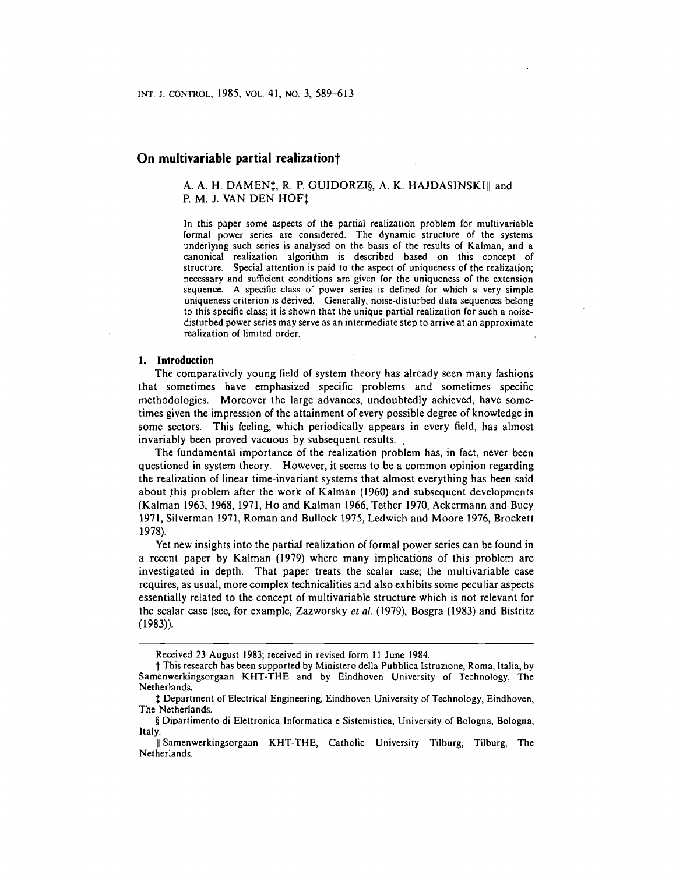# **On multivariable partial realization**†

# A. A. H. DAMENf, R. **P. GUIDORZI\$,** A. K. HAJDASINSKIll and **P. M. J. VAN DEN HOFT**

In this paper some aspects of the partial realization problem for multivariable formal power series are considered. The dynamic structure of the systems underlying such series is analysed on the basis of the results of Kalman, and a canonical realization algorithm is described based on this concept of structure. Special attention is paid to the aspect of uniqueness of the realization; necessary and sufficient conditions are given for the uniqueness of the extension sequence. **A** specific class of power series is defined for which a very simple uniqueness criterion is derived. Generally, noise-disturbed data sequences belong to this specific class; it is shown that the unique partial realization for such a noisedisturbed power series may serve as an intermediate step to arrive at an approximate realization of limited order.

# **1. Introduction**

The comparatively young field of system theory has already seen many fashions that sometimes have emphasized specific problems and sometimes specific methodologies. Moreover the large advances, undoubtedly achieved, have sometimes given the impression of the attainment of every possible degree of knowledge in some sectors. This feeling, which periodically appears in every field, has almost invariably been proved vacuous by subsequent results. .

The fundamental importance of the realization problem has, in fact, never been questioned in system theory. However, it seems to be a common opinion regarding the realization of linear time-invariant systems that almost everything has been said about this problem after the work of Kalman (1960) and subsequent developments (Kalman 1963,1968,1971, Ho and Kalman 1966, Tether 1970, Ackermann and Bucy 1971, Silverman 1971, Roman and Bullock 1975, Ledwich and Moore 1976, Brockett 1978).

Yet new insights into the partial realization of formal power series can be found in a recent paper by Kalman (1979) where many implications of this problem are investigated in depth. That paper treats the scalar case; the multivariable case requires, as usual, more complex technicalities and also exhibits some peculiar aspects essentially related to the concept of multivariable structure which is not relevant for the scalar case (see, for example, Zazworsky et *al.* (1979), Bosgra (1983) and Bistritz (1983)).

Received 23 August 1983; received in revised form 11 June 1984.

t This research has been supported by Ministero della Pubblica Istruzione, Roma, Italia, by Samenwerkingsorgaan KHT-THE and by Eindhoven University of Technology, The Netherlands.

t Department of Electrical Engineering, Eindhoven University of Technology, Eindhoven, The Netherlands.

<sup>§</sup> Dipartimento di Elettronica Informatica e Sistemistica, University of Bologna, Bologna, Italy.

<sup>11</sup>Samenwerkingsorgaan KHT-THE, Catholic University Tilburg, Tilburg, The Netherlands.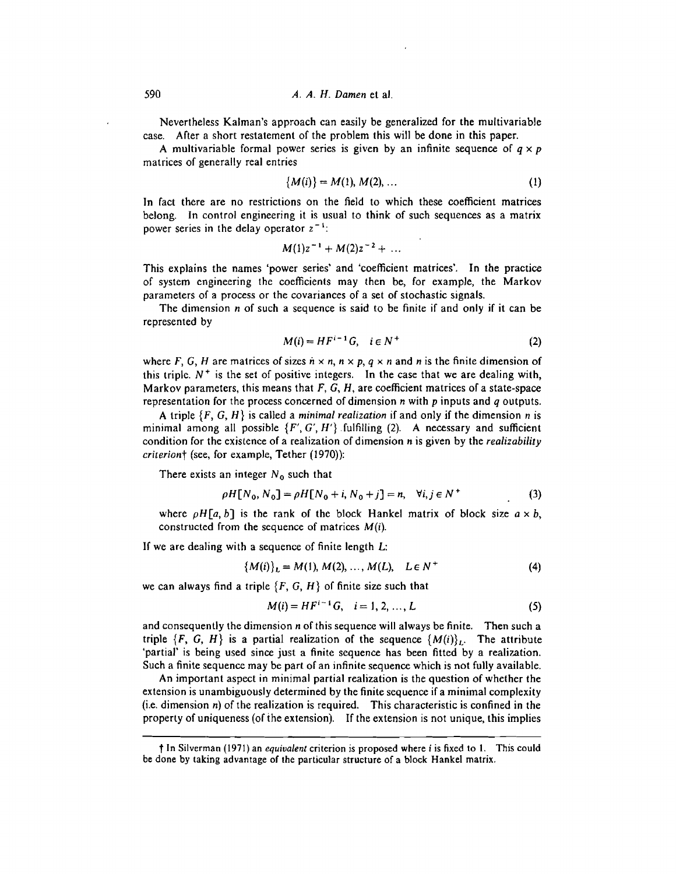Nevertheless Kalman's approach can easily be generalized for the multivariable case. After a short restatement of the problem this will be done in this paper.

A multivariable formal power series is given by an infinite sequence of  $q \times p$ matrices of generally real entries

$$
\{M(i)\} = M(1), M(2), \dots \tag{1}
$$

In fact there are no restrictions on the field to which these coefficient matrices belong. In control engineering it is usual to think of such sequences as a matrix power series in the delay operator  $z^{-1}$ .

$$
M(1)z^{-1}+M(2)z^{-2}+\ldots
$$

This explains the names 'power series' and 'coefficient matrices'. In the practice of system engineering the coefficients may then be, for example, the Markov parameters of a process or the covariances of a set of stochastic signals.

The dimension **n** of such a sequence is said to be finite if and only if it can be represented by

$$
M(i) = HF^{i-1}G, \quad i \in N^+ \tag{2}
$$

where F, G, H are matrices of sizes  $n \times n$ ,  $n \times p$ ,  $q \times n$  and n is the finite dimension of this triple.  $N^+$  is the set of positive integers. In the case that we are dealing with, Markov parameters, this means that  $F$ ,  $G$ ,  $H$ , are coefficient matrices of a state-space representation for the process concerned of dimension **n** with p inputs and q outputs.

A triple  $\{F, G, H\}$  is called a *minimal realization* if and only if the dimension *n* is minimal among all possible  $\{F', G', H'\}$  fulfilling (2). A necessary and sufficient condition for the existence of a realization of dimension *n* is given by the *realizability criteriont* (see, for example, Tether (1970)):

There exists an integer N<sub>o</sub> such that

$$
\rho H[N_0, N_0] = \rho H[N_0 + i, N_0 + j] = n, \quad \forall i, j \in N^+ \tag{3}
$$

where  $\rho H[a, b]$  is the rank of the block Hankel matrix of block size  $a \times b$ , constructed from the sequence of matrices *M(i).* 

If we are dealing with a sequence of finite length *L:* 

$$
\{M(i)\}_L = M(1), M(2), \dots, M(L), L \in N^+ \tag{4}
$$

we can always find a triple  $\{F, G, H\}$  of finite size such that

$$
M(i) = HF^{i-1}G, \quad i = 1, 2, ..., L
$$
 (5)

and consequently the dimension **n** of this sequence will always be finite. Then such a triple  $\{F, G, H\}$  is a partial realization of the sequence  $\{M(i)\}_{i,j}$ . The attribute 'partial' is being used since just a finite sequence has been fitted by a realization. Such a finite sequence may be part of an infinite sequence which is not fully available.

An important aspect in minimal partial realization is the question of whether the extension is unambiguously determined by the finite sequence if a minimal complexity (i.e. dimension **n)** of the realization is required. This characteristic is confined in the property of uniqueness (of the extension). If the extension is not unique, this implies

t In Silverman (1971) an *equivalenl* criterion is proposed where i is fixed to 1. This could be done by taking advantage of the particular structure of a block **Hankel** matrix.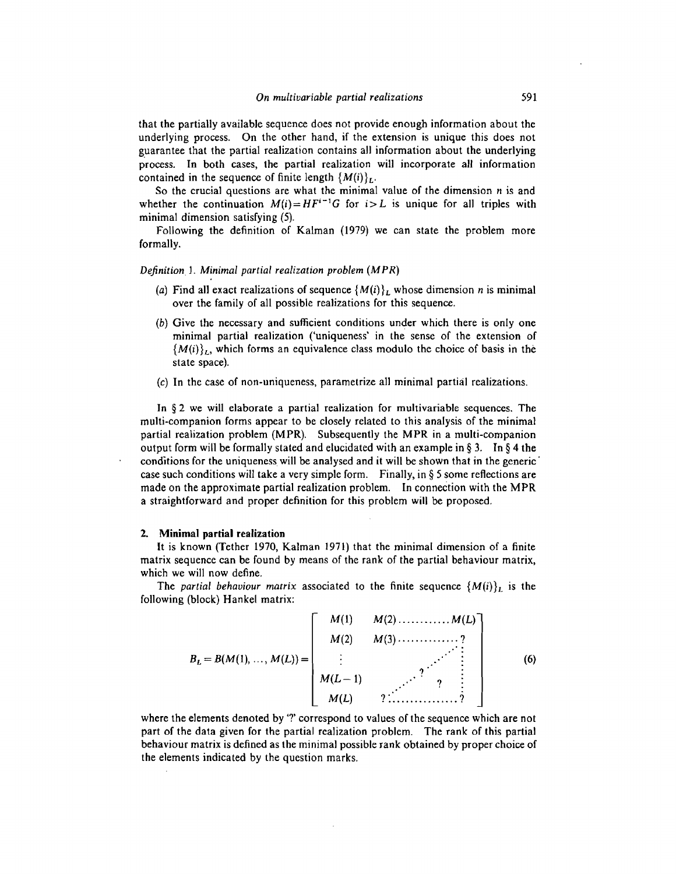that the partially available sequence does not provide enough information about the underlying process. On the other hand, if the extension is unique this does not guarantee that the partial realization contains all information about the underlying process. In both cases, the partial realization will incorporate all information contained in the sequence of finite length  ${M(i)}_i$ .

So the crucial questions are what the minimal value of the dimension  $n$  is and whether the continuation  $M(i)=HF^{i-1}G$  for  $i>L$  is unique for all triples with minimal dimension satisfying (5).

Following the definition of Kalman (1979) we can state the problem more formally.

#### Definition I. Minimal partial realization problem (MPR)

- (a) Find all exact realizations of sequence  $\{M(i)\}_L$  whose dimension n is minimal over the family of all possible realizations for this sequence.
- (b) Give the necessary and sufficient conditions under which there is only one minimal partial realization ('uniqueness' in the sense of the extension of  ${M(i)}_{i,j}$ , which forms an equivalence class modulo the choice of basis in the state space).
- (c) In the case of non-uniqueness, parametrize all minimal partial realizations.

In **5** 2 we will elaborate a partial realization for multivariable sequences. The multi-companion forms appear to be closely related to this analysis of the minimal partial realization problem **(MPR).** Subsequently the MPR in a multi-companion output form will be formally stated and elucidated with an example in *5* **3.** In *5* 4 the conditions for the uniqueness will be analysed and it will be shown that in the generic' case such conditions will take a very simple form. Finally, in **5 5** some reflections are made on the approximate partial realization problem. In connection with the MPR a straightforward and proper definition for this problem will be proposed.

# **2. Minimal** partial realization

It is known (Tether 1970, Kalman 1971) that the minimal dimension of a finite matrix sequence can be found by means of the rank of the partial behaviour matrix, which we will now define.

The partial behaviour matrix associated to the finite sequence  $\{M(i)\}_L$  is the following (block) Hankel matrix:

$$
B_{L} = B(M(1), ..., M(L)) = \begin{bmatrix} M(1) & M(2) & \dots & M(L) \\ M(2) & M(3) & \dots & \dots & ? \\ \vdots & \vdots & \vdots & \vdots & \vdots \\ M(L-1) & \dots & \dots & \dots & ? \\ M(L) & ? & \dots & \dots & \dots & ? \end{bmatrix}
$$
 (6)

where the elements denoted by '?' correspond to values of the sequence which are not part of the data given for **the** partial realization problem. The rank of this partial behaviour matrix is defined as the minimal possible rank obtained by proper choice of the elements indicated by the question marks.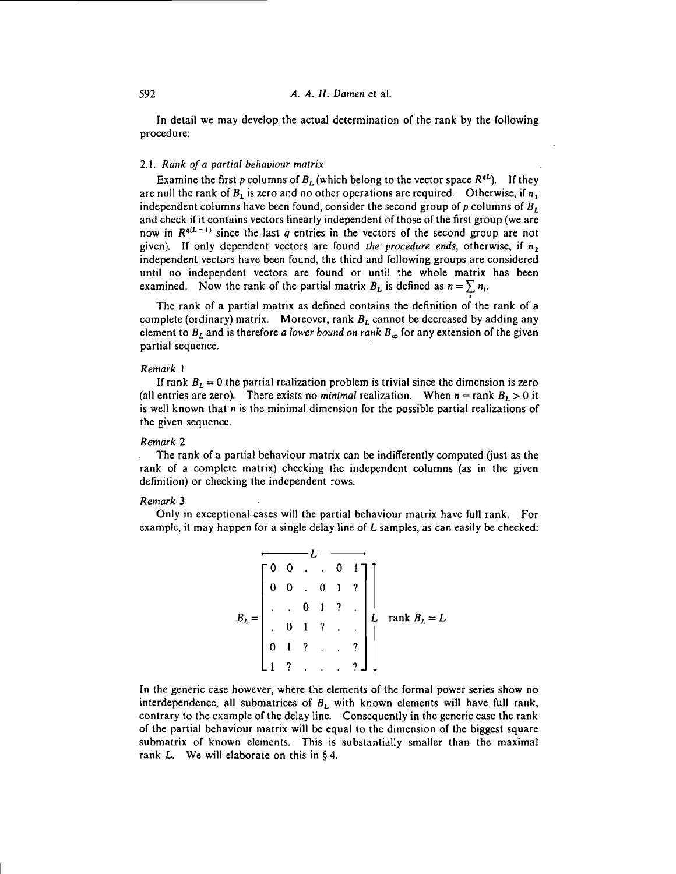In detail we may develop the actual determination of the rank by the following procedure:

# *2.1. Rank oja partial behaviour matrix*

Examine the first *p* columns of  $B_L$  (which belong to the vector space  $R^{qL}$ ). If they are null the rank of  $B_L$  is zero and no other operations are required. Otherwise, if  $n_1$ independent columns have been found, consider the second group of p columns of **B,**  and check if it contains vectors linearly independent of those of the first group (we are now in  $R^{q(L-1)}$  since the last q entries in the vectors of the second group are not given). If only dependent vectors are found *the procedure ends*, otherwise, if  $n_2$ independent vectors have been found, the third and following groups are considered until no independent vectors are found or until the whole matrix has been examined. Now the rank of the partial matrix  $B_L$  is defined as  $n = \sum n_i$ .

The rank of a partial matrix as defined contains the definition of the rank of a complete (ordinary) matrix. Moreover, rank  $B<sub>L</sub>$  cannot be decreased by adding any element to  $B_L$  and is therefore *a lower bound on rank*  $B_{\infty}$  for any extension of the given partial sequence.

### *Remark 1*

If rank  $B_L = 0$  the partial realization problem is trivial since the dimension is zero (all entries are zero). There exists no *minimal* realization. When  $n = \text{rank } B_L > 0$  it is well known that *n* is the minimal dimension for the possible partial realizations of the given sequence.

# *Remark 2*

. The rank of a partial behaviour matrix can be indifferently computed (just as the rank of a complete matrix) checking the independent columns (as in the given definition) or checking the independent rows.

## *Remark* **3**

Only in exceptional. cases will the partial behaviour matrix have full rank. For example, it may happen for a single delay line of L samples, as can easily be checked:

| $\mathbf 0$ |                                                      | $\mathbf 0$ |          | $\boldsymbol{\mathcal{C}}$ |               |                             |
|-------------|------------------------------------------------------|-------------|----------|----------------------------|---------------|-----------------------------|
| ۰           |                                                      |             | $\gamma$ |                            | $\mathbf{I}$  |                             |
|             | $\begin{array}{cc} & 0 & 1 \\ 0 & 1 & ? \end{array}$ |             |          | ٠                          | $^{\prime}$ L | rank $\boldsymbol{B}_L = L$ |
|             |                                                      |             | ٠        |                            |               |                             |
|             |                                                      |             |          |                            |               |                             |

In the generic case however, where the elements of the formal power series show no interdependence, all submatrices of **B,** with known elements will have full rank, contrary to the example of the delay line. Consequently in the generic case the rank of the partial behaviour matrix will be equal to the dimension of the biggest square submatrix of known elements. This is substantially smaller than the maxima1 rank L. We will elaborate on this in **6** 4.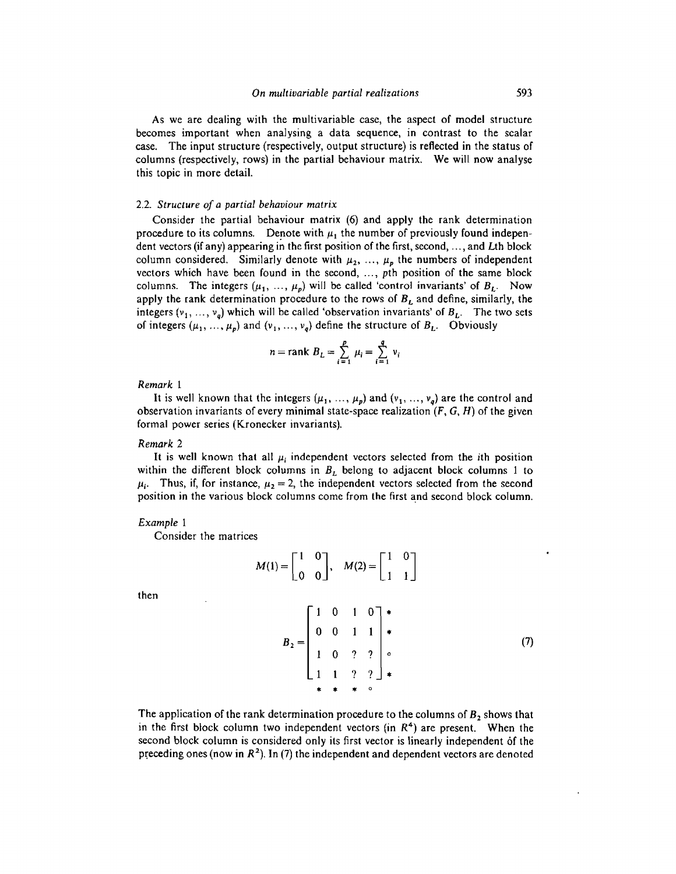As we are dealing with the multivariable case, the aspect of model structure becomes important when analysing a data sequence, in contrast to the scalar case. The input structure (respectively, output structure) is reflected in the status of columns (respectively, rows) in the partial behaviour matrix. We will now analyse this topic in more detail.

# **2.2.** *Structure of a partial behaviour matrix*

Consider the partial behaviour matrix *(6)* and apply the rank determination procedure to its columns. Denote with  $\mu_1$  the number of previously found independent vectors (if any) appearing in the first position of the first, second, . .. , and Lth block column considered. Similarly denote with  $\mu_2, \ldots, \mu_n$  the numbers of independent vectors which have been found in the second, ..., pth position of the same block columns. The integers  $(\mu_1, \ldots, \mu_p)$  will be called 'control invariants' of  $B_L$ . Now apply the rank determination procedure to the rows of  $B<sub>L</sub>$  and define, similarly, the integers  $(v_1, ..., v_q)$  which will be called 'observation invariants' of  $B_L$ . The two sets of integers  $(\mu_1, ..., \mu_p)$  and  $(v_1, ..., v_q)$  define the structure of  $B_L$ . Obviously

$$
n = \text{rank } B_L = \sum_{i=1}^{p} \mu_i = \sum_{i=1}^{q} v_i
$$

*Remark 1* 

It is well known that the integers  $(\mu_1, ..., \mu_n)$  and  $(v_1, ..., v_n)$  are the control and observation invariants of every minimal state-space realization  $(F, G, H)$  of the given formal power series (Kronecker invariants).

### *Remark 2*

It is well known that all  $\mu_i$  independent vectors selected from the *i*th position within the different block columns in  $B_L$  belong to adjacent block columns 1 to  $\mu_i$ . Thus, if, for instance,  $\mu_2 = 2$ , the independent vectors selected from the second position in the various block columns come from the first and second block column.

#### *Example 1*

then

Consider the matrices

$$
M(1) = \begin{bmatrix} 1 & 0 \\ 0 & 0 \end{bmatrix}, \quad M(2) = \begin{bmatrix} 1 & 0 \\ 1 & 1 \end{bmatrix}
$$

$$
B_2 = \begin{bmatrix} 1 & 0 & 1 & 0 \\ 0 & 0 & 1 & 1 \\ 1 & 0 & ? & ? \\ 1 & 1 & ? & ? \end{bmatrix} \begin{bmatrix} * & & & \\ * & & & \\ * & * & * & * \end{bmatrix}
$$
(7)

The application of the rank determination procedure to the columns of  $B_2$  shows that in the first block column two independent vectors (in  $R<sup>4</sup>$ ) are present. When the second block column is considered only its first vector is linearly independent of the preceding ones (now in  $R^2$ ). In (7) the independent and dependent vectors are denoted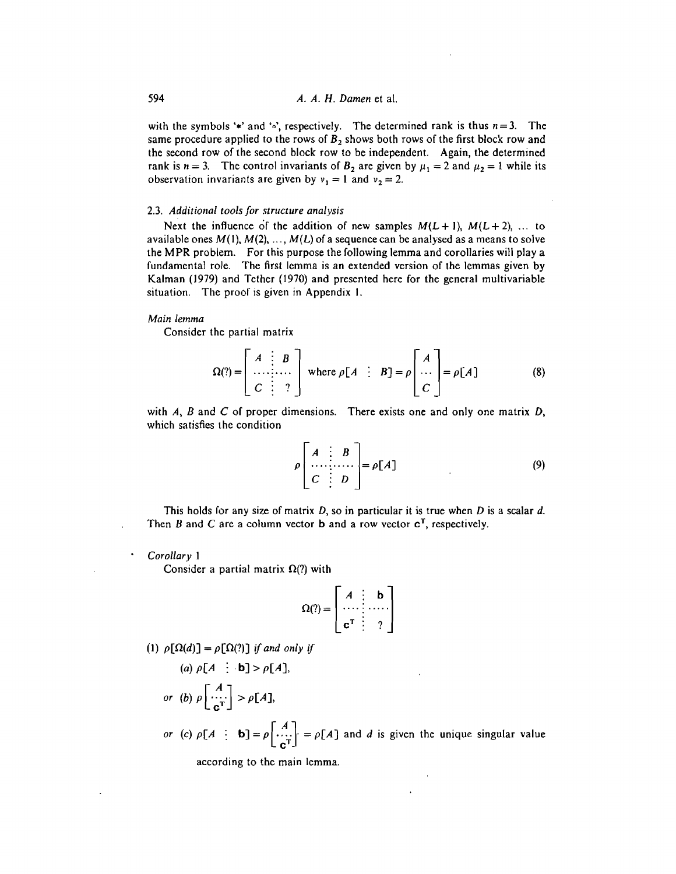with the symbols '\*' and 'o', respectively. The determined rank is thus  $n=3$ . The same procedure applied to the rows of **B,** shows both rows of the first block row and the second row of the second block row to be independent. Again, the determined rank is  $n = 3$ . The control invariants of  $B_2$  are given by  $\mu_1 = 2$  and  $\mu_2 = 1$  while its observation invariants are given by  $v_1 = 1$  and  $v_2 = 2$ .

# **2.3.** *Additional tools/or structure analysis*

Next the influence of the addition of new samples  $M(L + 1)$ ,  $M(L + 2)$ , ... to available ones  $M(1)$ ,  $M(2)$ , ...,  $M(L)$  of a sequence can be analysed as a means to solve the **MPR** problem. For this purpose the following lemma and corollaries will play a fundamental role. 'The first lemma is an extended version of the lemmas given by Kalman *(1979)* and Tether *(1970)* and presented here for the general multivariable situation. The proof is given in Appendix I.

## *Main lemma*

Consider the partial matrix

$$
\Omega(?) = \begin{bmatrix} A & \vdots & B \\ \cdots & \cdots & \cdots \\ C & \vdots & ? \end{bmatrix} \text{ where } \rho[A] \vdots B] = \rho \begin{bmatrix} A \\ \cdots \\ C \end{bmatrix} = \rho[A] \tag{8}
$$

with A, B and C of proper dimensions. There exists one and only one matrix D, which satisfies the condition

$$
\rho\left[\begin{array}{ccc} A & \vdots & B \\ \cdots & \cdots & \cdots \\ C & \vdots & D \end{array}\right] = \rho[A] \tag{9}
$$

This holds for any size of matrix D, so in particular it is true when D is a scalar *d.*  Then B and C are a column vector **b** and a row vector  $c^T$ , respectively.

*Corollary 1* 

Consider a partial matrix  $\Omega(?)$  with

$$
\Omega(?) = \left[ \begin{array}{ccc} A & \vdots & \mathbf{b} \\ \cdots & \cdots & \cdots \\ \mathbf{c}^{\mathrm{T}} & \vdots & \gamma \end{array} \right]
$$

(1) 
$$
\rho[\Omega(d)] = \rho[\Omega(?)]
$$
 if and only if

(a) 
$$
\rho[A \vdots b] > \rho[A],
$$
  
or (b)  $\rho\begin{bmatrix} A \\ \cdots \\ C^T \end{bmatrix} > \rho[A],$ 

*or* (c)  $\rho[A \neq b] = \rho \left[ \dots \right] = \rho[A]$  and *d* is given the unique singular value **cT** 

according to the main lemma.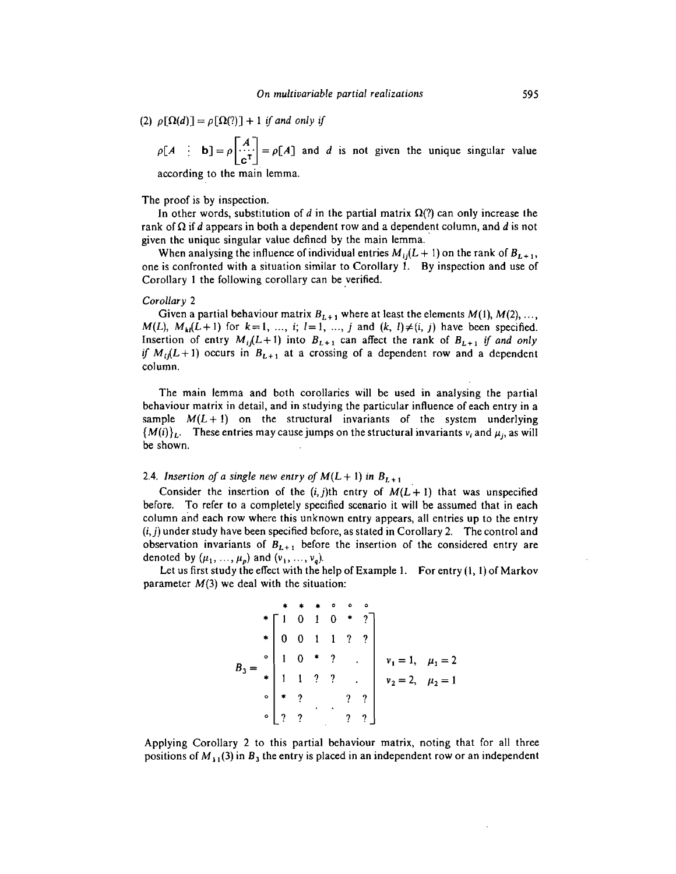(2)  $\rho[\Omega(d)] = \rho[\Omega(?)] + 1$  *if and only if* 

 $\rho[A \quad \vdots \quad \mathbf{b}]=\rho\begin{bmatrix} A \\ \vdots \end{bmatrix}=\rho[A]$  and *d* is not given the unique singular value

according to the main lemma.

The proof is by inspection.

In other words, substitution of *d* in the partial matrix  $\Omega(?)$  can only increase the rank of  $\Omega$  if *d* appears in both a dependent row and a dependent column, and *d* is not given the unique singular value defined by the main lemma.

When analysing the influence of individual entries  $M_{ii}(L+1)$  on the rank of  $B_{L+1}$ , one is confronted with a situation similar to Corollary **1.** By inspection and use of Corollary 1 the following corollary can be verified.

## *Corollary 2*

Given a partial behaviour matrix  $B_{L+1}$  where at least the elements  $M(1), M(2), \ldots$ , *M(L),*  $M_{kl}(L+1)$  for  $k=1, ..., i; l=1, ..., j$  and  $(k, l) \neq (i, j)$  have been specified. Insertion of entry  $M_i(L+1)$  into  $B_{L+1}$  can affect the rank of  $B_{L+1}$  if and only *if*  $M_i(L+1)$  occurs in  $B_{L+1}$  at a crossing of a dependent row and a dependent column.

The main lemma and both corollaries will be used in analysing the partial behaviour matrix in detail, and in studying the particular influence of each entry in a sample  $M(L+1)$  on the structural invariants of the system underlying  ${M(i)}_L$ . These entries may cause jumps on the structural invariants  $v_i$  and  $\mu_i$ , as will be shown.

# 2.4. Insertion of a single new entry of  $M(L + 1)$  in  $B_{L+1}$

Consider the insertion of the  $(i, j)$ <sup>th</sup> entry of  $M(L + 1)$  that was unspecified before. To refer to a completely specified scenario it will be assumed that in each column and each row where this unknown entry appears, all entries up to the entry  $(i, j)$  under study have been specified before, as stated in Corollary 2. The control and observation invariants of  $B_{L+1}$  before the insertion of the considered entry are denoted by  $(\mu_1, ..., \mu_p)$  and  $(v_1, ..., v_q)$ .

Let us first study the effect with the help of Example 1. For entry  $(1, 1)$  of Markov parameter  $M(3)$  we deal with the situation:

Applying Corollary 2 to this partial behaviour matrix, noting that for all three positions of  $M_{11}(3)$  in  $B_3$  the entry is placed in an independent row or an independent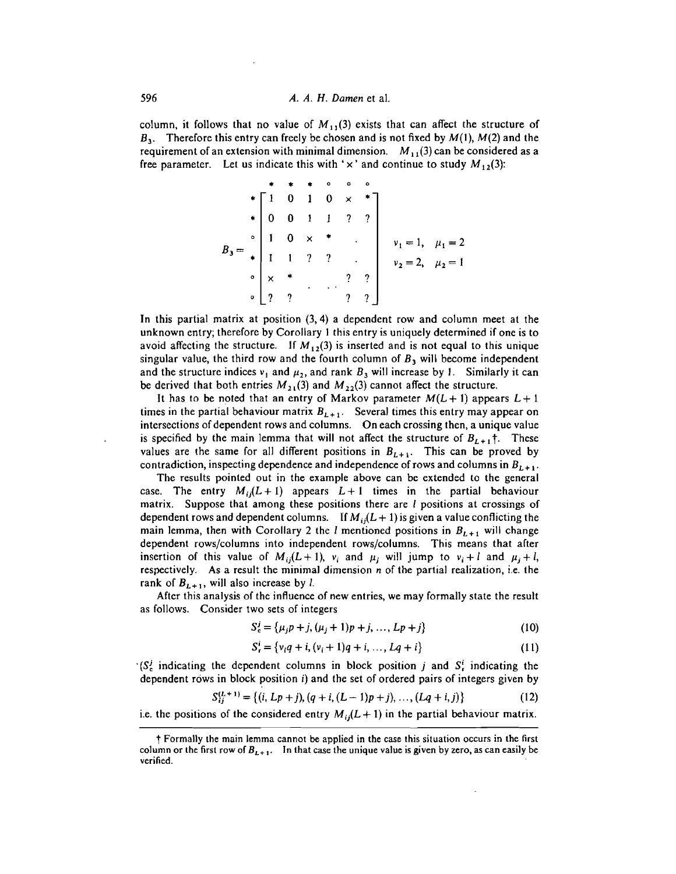column, it follows that no value of  $M_{1,1}(3)$  exists that can affect the structure of  $B_3$ . Therefore this entry can freely be chosen and is not fixed by  $M(1)$ ,  $M(2)$  and the requirement of an extension with minimal dimension.  $M_{1,1}(3)$  can be considered as a free parameter. Let us indicate this with ' $\times$ ' and continue to study  $M_{12}(3)$ :

$$
B_3 = \begin{pmatrix} * & * & * & * & \circ & \circ & \circ \\ 1 & 0 & 1 & 0 & \times & * \\ 0 & 0 & 1 & 1 & ? & ? \\ 1 & 0 & \times & * & . & . \\ 1 & 1 & ? & ? & . & . \\ \circ & \times & * & . & . & ? & ? \\ 0 & ? & ? & . & . & ? & ? \end{pmatrix} \quad v_1 = 1, \quad \mu_1 = 2
$$

In this partial matrix at position **(3,4)** a dependent row and column meet at the unknown entry; therefore by Corollary 1 this entry is uniquely determined if one is to avoid affecting the structure. If  $M_{12}(3)$  is inserted and is not equal to this unique singular value, the third row and the fourth column of  $B<sub>3</sub>$  will become independent and the structure indices  $v_1$  and  $\mu_2$ , and rank  $B_3$  will increase by 1. Similarly it can be derived that both entries  $M_{21}(3)$  and  $M_{22}(3)$  cannot affect the structure.

It has to be noted that an entry of Markov parameter  $M(L + 1)$  appears  $L + 1$ times in the partial behaviour matrix  $B_{L+1}$ . Several times this entry may appear on intersections of dependent rows and columns. On each crossing then, a unique value is specified by the main lemma that will not affect the structure of  $B_{L+1}$ <sup>†</sup>. These values are the same for all different positions in  $B_{L+1}$ . This can be proved by contradiction, inspecting dependence and independence of rows and columns in  $B_{L+1}$ .

The results pointed out in the example above can be extended to the general case. The entry  $M_{ii}(L+1)$  appears  $L+1$  times in the partial behaviour matrix. Suppose that among these positions there are **1** positions at crossings of dependent rows and dependent columns. If  $M_{ij}(L+1)$  is given a value conflicting the main lemma, then with Corollary 2 the *l* mentioned positions in  $B_{L+1}$  will change dependent rows/columns into independent rows/columns. This means that after insertion of this value of  $M_{ij}(L+1)$ ,  $v_i$  and  $\mu_j$  will jump to  $v_i + l$  and  $\mu_j + l$ , respectively. As a result the minimal dimension  $n$  of the partial realization, i.e. the rank of  $B_{L+1}$ , will also increase by *l*.

After this analysis of the influence of new entries, we may formally state the result as follows. Consider two sets of integers

$$
S_c^j = \{\mu_j p + j, (\mu_j + 1)p + j, ..., Lp + j\}
$$
 (10)

$$
S_t^i = \{v_i q + i, (v_i + 1)q + i, ..., Lq + i\}
$$
\n(11)

**(Si** indicating the dependent columns in block position *j* and Si indicating the dependent rows in block position i) and the set of ordered pairs of integers given by

$$
S_{ij}^{(L+1)} = \{(i, Lp+j), (q+i, (L-1)p+j), ..., (Lq+i, j)\}\
$$
 (12)

i.e. the positions of the considered entry  $M_{ij}(L+1)$  in the partial behaviour matrix.

Formally the main lemma cannot be applied in the case this situation occurs in the first column or the first row of  $B_{L+1}$ . In that case the unique value is given by zero, as can easily be verified.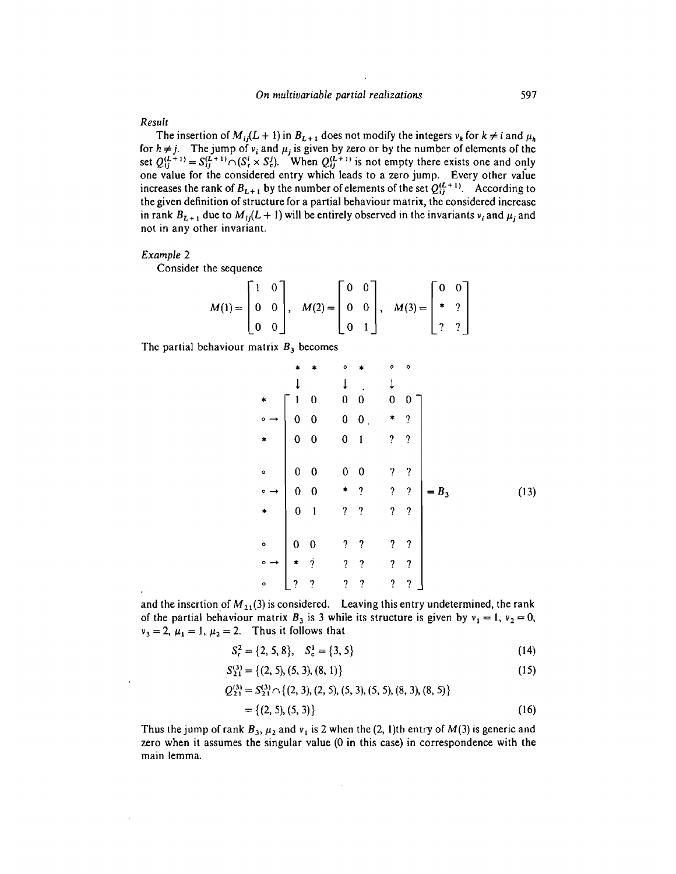*Result* 

The insertion of  $M_{i,j}(L+1)$  in  $B_{L+1}$  does not modify the integers  $v_k$  for  $k \neq i$  and  $\mu_k$ for  $h \neq j$ . The jump of  $v_i$  and  $\mu_j$  is given by zero or by the number of elements of the set  $Q_{ij}^{(L+1)} = S_{ij}^{(L+1)} \cap (S_r^i \times S_c^j)$ . When  $Q_{ij}^{(L+1)}$  is not empty there exists one and only one value for the considered entry which leads to a zero jump. Every other vafue increases the rank of  $B_{L+1}$  by the number of elements of the set  $Q_{ij}^{(L+1)}$ . According to the given definition of structure for a partial behaviour matrix, the considered increase in rank  $B_{L+1}$  due to  $M_{ij}(L+1)$  will be entirely observed in the invariants  $v_i$  and  $\mu_j$  and not in any other invariant.

*Example 2* 

Consider the sequence

$$
M(1) = \begin{bmatrix} 1 & 0 \\ 0 & 0 \\ 0 & 0 \end{bmatrix}, \quad M(2) = \begin{bmatrix} 0 & 0 \\ 0 & 0 \\ 0 & 1 \end{bmatrix}, \quad M(3) = \begin{bmatrix} 0 & 0 \\ * & ? \\ ? & ? \end{bmatrix}
$$

The partial behaviour matrix *B,* becomes

and the insertion of  $M_{2,1}(3)$  is considered. Leaving this entry undetermined, the rank of the partial behaviour matrix  $B_3$  is 3 while its structure is given by  $v_1 = 1$ ,  $v_2 = 0$ ,  $v_3 = 2, \mu_1 = 1, \mu_2 = 2.$  Thus it follows that

$$
S_c^2 = \{2, 5, 8\}, \quad S_c^1 = \{3, 5\} \tag{14}
$$

$$
S_{21}^{(3)} = \{(2, 5), (5, 3), (8, 1)\}\tag{15}
$$

$$
Q_{21}^{(3)} = S_{21}^{(3)} \cap \{(2, 3), (2, 5), (5, 3), (5, 5), (8, 3), (8, 5)\}\
$$

$$
= \{(2, 5), (5, 3)\}\
$$
(16)

Thus the jump of rank  $B_3$ ,  $\mu_2$  and  $\nu_1$  is 2 when the (2, 1)th entry of  $M(3)$  is generic and zero when it assumes the singular value (0 in this case) in correspondence with the main lemma.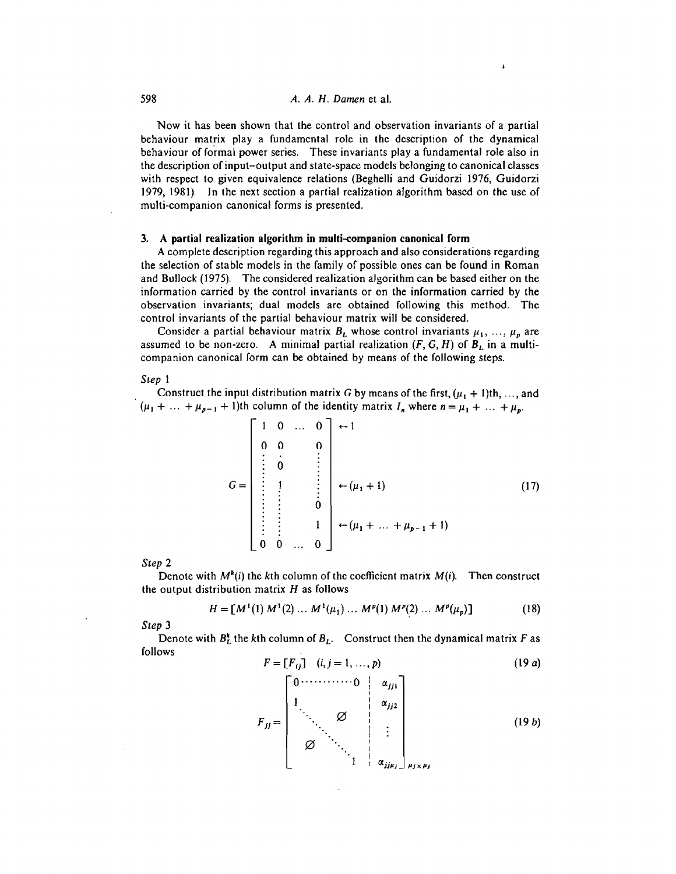Now it has been shown that the control and observation invariants of a partial behaviour matrix play a fundamental role in the description of the dynamical behaviour of formal power series. These invariants play a fundamental role also in the description of input-output and state-space models belonging to canonical classes with respect to given equivalence relations (Beghelli and Guidorzi 1976, Guidorzi 1979, 1981). In the next section a partial realization algorithm based on the use of multi-companion canonical forms is presented.

### **3.** A partial realization algorithm in multi-companion canonical form

**A** complete description regarding this approach and also considerations regarding the selection of stable models in the family of possible ones can be found in Roman and Bullock (1975). The considered realization algorithm can be based either on the information carried by the control invariants or on the information carried by the observation invariants; dual models are obtained following this method. The control invariants of the partial behaviour matrix will be considered.

Consider a partial behaviour matrix  $B_L$  whose control invariants  $\mu_1, \ldots, \mu_p$  are assumed to be non-zero. A minimal partial realization  $(F, G, H)$  of  $B_L$  in a multicompanion canonical form can be obtained by means of the following steps.

### *Step* **1**

Construct the input distribution matrix G by means of the first,  $(\mu_1 + 1)$ th, ..., and  $(\mu_1 + \ldots + \mu_{p-1} + 1)$ th column of the identity matrix  $I_n$  where  $n = \mu_1 + \ldots + \mu_p$ .

$$
G = \begin{bmatrix} 1 & 0 & \dots & 0 \\ 0 & 0 & & 0 \\ \vdots & \vdots & & \vdots \\ 0 & & & \vdots \\ \vdots & & & \vdots \\ \vdots & & & \vdots \\ \vdots & & & \vdots \\ \vdots & & & \vdots \\ 0 & 0 & \dots & 0 \end{bmatrix} \leftarrow (\mu_1 + 1) \tag{17}
$$

*Step* 2

Denote with  $M^{k}(i)$  the kth column of the coefficient matrix  $M(i)$ . Then construct the output distribution matrix **H** as follows

$$
H = [M1(1) M1(2) ... M1(\mu1) ... Mp(1) Mp(2) ... Mp(\mup)]
$$
 (18)

*Step* **3** 

Denote with  $B_L^k$  the kth column of  $B_L$ . Construct then the dynamical matrix F as follows

$$
F = [F_{ij}] \quad (i, j = 1, ..., p) \tag{19 a}
$$

$$
F_{jj} = \begin{bmatrix} 0 & \cdots & \cdots & \cdots & 0 & \cdots & a_{jj1} \\ \vdots & \ddots & \ddots & \vdots & \vdots & \vdots & \vdots \\ \varnothing & \ddots & \ddots & \vdots & \vdots & \vdots \\ \varnothing & \ddots & \ddots & \vdots & \vdots & \vdots \\ \vdots & \ddots & \ddots & \vdots & \vdots & \vdots \\ \vdots & \ddots & \ddots & \vdots & \vdots & \vdots \\ \vdots & \ddots & \ddots & \vdots & \vdots & \vdots \\ \vdots & \ddots & \ddots & \vdots & \vdots & \vdots \\ \vdots & \ddots & \ddots & \vdots & \vdots & \vdots \\ \vdots & \ddots & \ddots & \vdots & \vdots & \vdots \\ \vdots & \ddots & \ddots & \vdots & \vdots & \vdots \\ \vdots & \ddots & \ddots & \vdots & \vdots & \vdots \\ \vdots & \ddots & \ddots & \vdots & \vdots & \vdots \\ \vdots & \ddots & \ddots & \vdots & \vdots & \vdots \\ \vdots & \ddots & \ddots & \vdots & \vdots & \vdots \\ \vdots & \ddots & \ddots & \vdots & \vdots & \vdots \\ \vdots & \ddots & \ddots & \vdots & \vdots & \vdots \\ \vdots & \ddots & \ddots & \vdots & \vdots & \vdots \\ \vdots & \ddots & \ddots & \vdots & \vdots & \vdots \\ \vdots & \ddots & \ddots & \vdots & \vdots & \vdots \\ \vdots & \ddots & \ddots & \vdots & \vdots & \vdots \\ \vdots & \ddots & \ddots & \vdots & \vdots & \vdots \\ \vdots & \ddots & \ddots & \vdots & \vdots & \vdots \\ \vdots & \ddots & \ddots & \vdots & \vdots & \vdots \\ \vdots & \ddots & \ddots & \vdots & \vdots & \vdots \\ \vdots & \ddots & \ddots & \vdots & \vdots & \vdots \\ \vdots & \ddots & \ddots & \vdots & \vdots & \vdots \\ \vdots & \ddots & \ddots & \vdots & \vdots & \vdots \\ \vdots & \ddots & \ddots & \vdots & \vdots & \vdots \\ \vdots & \ddots & \ddots & \vdots & \vdots & \vdots \\ \vdots & \ddots & \ddots & \vdots & \vdots &
$$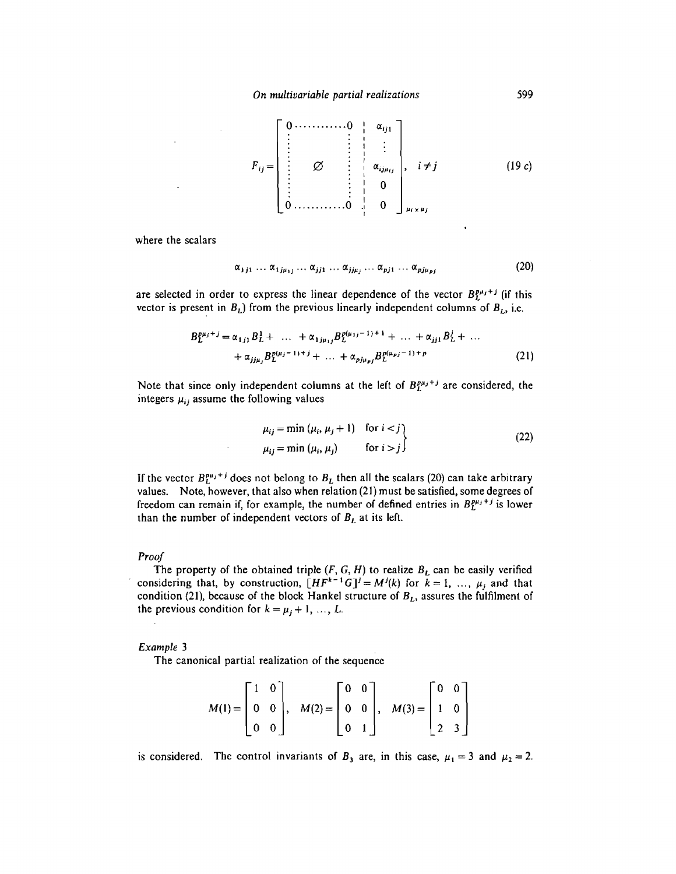

where the scalars

$$
\alpha_{j,j1} \ldots \alpha_{1j\mu_{1j}} \ldots \alpha_{j,j1} \ldots \alpha_{jj\mu_{j}} \ldots \alpha_{pj1} \ldots \alpha_{pj\mu_{pi}} \tag{20}
$$

are selected in order to express the linear dependence of the vector  $B_{\ell}^{p\mu_j+j}$  (if this vector is present in  $B_L$ ) from the previous linearly independent columns of  $B_L$ , i.e.

$$
B_L^{p\mu_j + j} = \alpha_{1j1} B_L^1 + \dots + \alpha_{1j\mu_1j} B_L^{p(\mu_1j - 1) + 1} + \dots + \alpha_{jj1} B_L^j + \dots
$$
  
+ 
$$
\alpha_{jj\mu_j} B_L^{p(\mu_j - 1) + j} + \dots + \alpha_{pj\mu_pj} B_L^{p(\mu_pj - 1) + p}
$$
 (21)

Note that since only independent columns at the left of  $B_L^{p\mu_j+j}$  are considered, the integers  $\mu_{ij}$  assume the following values

$$
\mu_{ij} = \min (\mu_i, \mu_j + 1) \quad \text{for } i < j \}
$$
\n
$$
\mu_{ij} = \min (\mu_i, \mu_j) \qquad \text{for } i > j \}
$$
\n
$$
(22)
$$

If the vector  $B_L^{p\mu_j+j}$  does not belong to  $B_L$  then all the scalars (20) can take arbitrary values. Note, however, that also when relation **(21)** must be satisfied, some degrees of freedom can remain if, for example, the number of defined entries in  $B_L^{p\mu_j+j}$  is lower than the number of independent vectors of  $B_L$  at its left.

### *Proof*

The property of the obtained triple  $(F, G, H)$  to realize  $B<sub>L</sub>$  can be easily verified considering that, by construction,  $[HF^{k-1}G]^j = M^j(k)$  for  $k = 1, ..., \mu_j$  and that condition (21), because of the block Hankel structure of  $B_L$ , assures the fulfilment of the previous condition for  $k = \mu_j + 1, ..., L$ .

*Example* **3** 

The canonical partial realization of the sequence

$$
M(1) = \begin{bmatrix} 1 & 0 \\ 0 & 0 \\ 0 & 0 \end{bmatrix}, \quad M(2) = \begin{bmatrix} 0 & 0 \\ 0 & 0 \\ 0 & 1 \end{bmatrix}, \quad M(3) = \begin{bmatrix} 0 & 0 \\ 1 & 0 \\ 2 & 3 \end{bmatrix}
$$

is considered. The control invariants of  $B_3$  are, in this case,  $\mu_1 = 3$  and  $\mu_2 = 2$ .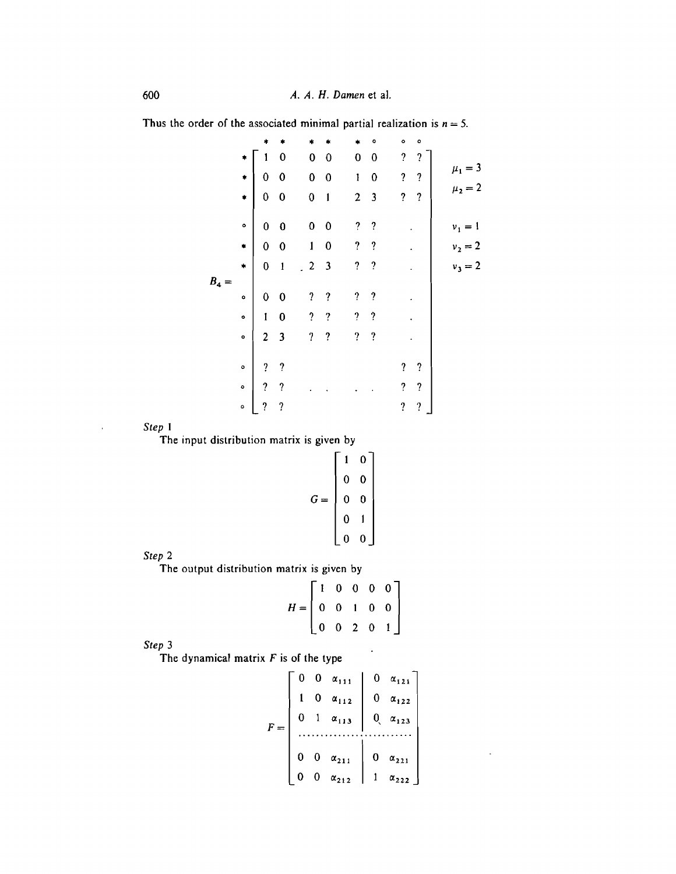|         |                      |                |              |                         |              |                     | ٥        | $\circ$<br>۰                  |                                    |
|---------|----------------------|----------------|--------------|-------------------------|--------------|---------------------|----------|-------------------------------|------------------------------------|
|         | ۰                    | 1              | 0            | 0                       | 0            | 0                   | 0        | ?<br>?                        |                                    |
|         | $\bullet$            | 0              | 0            | 0                       | $\bf{0}$     | $\mathbf i$         | 0        | ?<br>?                        | $\mu_1 = 3$                        |
|         | ż.                   | $\bf{0}$       | $\bf{0}$     | $\mathbf 0$             | $\mathbf{1}$ | $\mathbf{2}$        | 3        | ?<br>$\mathcal{P}$            | $\mu_2 = 2$                        |
|         | $\ddot{\circ}$       | $\bf{0}$       | 0            | 0                       | 0            | ?                   | ?        |                               | -1<br>$v_1$                        |
|         | ÷                    | $\bf{0}$       | 0            | $\mathbf{I}$            | $\bf{0}$     | ?                   | ?        |                               | $\overline{\mathbf{c}}$<br>$v_2 =$ |
|         | ۰                    | $\bf{0}$       | $\mathbf{I}$ | $\overline{\mathbf{c}}$ | $\mathbf{3}$ | ?                   | ?        |                               | $v_3 = 2$                          |
| $B_4 =$ |                      |                |              |                         |              |                     |          |                               |                                    |
|         | $\ddot{\phantom{0}}$ | $\mathbf 0$    | 0            | ?                       | ŗ            | ?                   | ?        |                               |                                    |
|         | ō                    | $\mathbf{I}$   | 0            | ?                       | ?            | $\boldsymbol{\eta}$ | $\gamma$ |                               |                                    |
|         | $\bullet$            | $\overline{c}$ | 3            | ?                       | ?            | ?                   | ?        |                               |                                    |
|         | $\circ$              | ?              | $\gamma$     |                         |              |                     |          | ?<br>?                        |                                    |
|         | $\bullet$            | ?              | $\gamma$     |                         |              |                     |          | ?<br>$\overline{\mathcal{L}}$ |                                    |
|         | ۰                    | ?              | ?            |                         |              |                     |          | ?<br>?                        |                                    |

Thus the order of the associated minimal partial realization is  $n = 5$ .

**Step I** 

 $\bar{z}$ 

**The input distribution matrix is given by** 

$$
G = \begin{bmatrix} 1 & 0 \\ 0 & 0 \\ 0 & 0 \\ 0 & 1 \\ 0 & 0 \end{bmatrix}
$$

**Step** 2

**The output distribution matrix is given by** 

| $H = \left[ \begin{array}{cccccc} 1 & 0 & 0 & 0 & 0 \\ 0 & 0 & 1 & 0 & 0 \\ 0 & 0 & 2 & 0 & 1 \end{array} \right]$ |  |  |  |
|--------------------------------------------------------------------------------------------------------------------|--|--|--|
|                                                                                                                    |  |  |  |
|                                                                                                                    |  |  |  |

**Step 3** 

**The dynamical matrix F is of the type** 

| 0  |   | $0 \alpha_{111}$ |    | $0 \alpha_{121}$ |  |
|----|---|------------------|----|------------------|--|
| 1  |   | $\alpha_{112}$   | 0. | $\alpha_{122}$   |  |
| 0. |   | 1 $\alpha_{113}$ |    | $\alpha_{123}$   |  |
|    |   |                  |    |                  |  |
| 0  | 0 | $\alpha_{211}$   | 0  | $\alpha_{221}$   |  |
|    | 0 | $\alpha_{212}$   |    | $\alpha_{222}$   |  |

ä,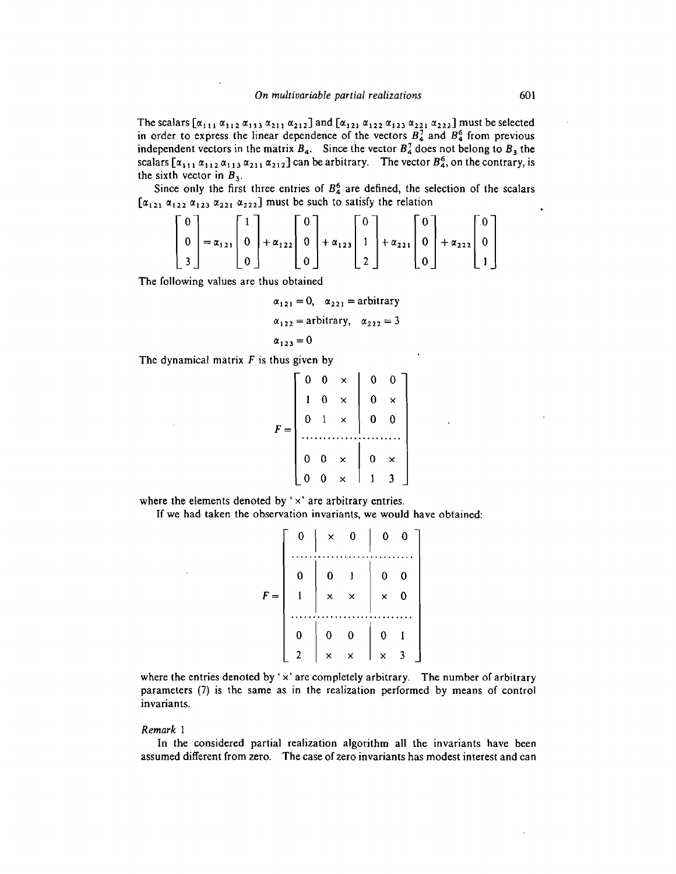The scalars  $[\alpha_{111} \alpha_{112} \alpha_{113} \alpha_{211} \alpha_{212}]$  and  $[\alpha_{121} \alpha_{122} \alpha_{123} \alpha_{221} \alpha_{222}]$  must be selected in order to express the linear dependence of the vectors  $B_4^{\prime}$  and  $B_4^{\circ}$  from previous independent vectors in the matrix  $B_4$ . Since the vector  $B_4^7$  does not belong to  $B_3$  the scalars  $[\alpha_{111} \alpha_{112} \alpha_{113} \alpha_{211} \alpha_{212}]$  can be arbitrary. The vector  $B_4^6$ , on the contrary, is the sixth vector in  $B_3$ .

Since only the first three entries of  $B_4^6$  are defined, the selection of the scalars  $[\alpha_{12}, \alpha_{12}, \alpha_{12}, \alpha_{22}, \alpha_{22}]$  must be such to satisfy the relation

$$
\begin{bmatrix} 0 \\ 0 \\ 3 \end{bmatrix} = \alpha_{121} \begin{bmatrix} 1 \\ 0 \\ 0 \end{bmatrix} + \alpha_{122} \begin{bmatrix} 0 \\ 0 \\ 0 \end{bmatrix} + \alpha_{123} \begin{bmatrix} 0 \\ 1 \\ 2 \end{bmatrix} + \alpha_{221} \begin{bmatrix} 0 \\ 0 \\ 0 \end{bmatrix} + \alpha_{222} \begin{bmatrix} 0 \\ 0 \\ 1 \end{bmatrix}
$$

The following values are thus obtained

$$
\alpha_{121} = 0, \quad \alpha_{221} = \text{arbitrary}
$$
  
\n
$$
\alpha_{122} = \text{arbitrary}, \quad \alpha_{222} = 3
$$
  
\n
$$
\alpha_{123} = 0
$$

The dynamical matrix  $F$  is thus given by

|   | 0            |   | $\mathsf{x}$ | $\mathbf{0}$ | 0 |  |
|---|--------------|---|--------------|--------------|---|--|
|   | $\mathbf{1}$ | 0 | ×            | 0            | × |  |
|   | 0            |   | ×            | 0            | 0 |  |
| = |              |   |              |              |   |  |
|   | 0            | 0 | ×            | 0            |   |  |
|   |              |   |              |              |   |  |

where the elements denoted by 'x' are arbitrary entries.

If we had taken the observation invariants, we would have obtained:

|       | $\bf{0}$ | $\mathsf{x}$  | $\bf{0}$ | $\mathbf{0}$ | $\bf{0}$ |  |
|-------|----------|---------------|----------|--------------|----------|--|
| $F =$ | 0        | 0<br>$\times$ | ×        | 0<br>×.      | 0<br>0   |  |
|       | 0        | 0             | 0        | 0            |          |  |
|       | 2        | ×             | ×        | ×            |          |  |

where the entries denoted by 'x' are completely arbitrary. The number of arbitrary parameters **(7)** is the same as in the realization performed by means of control invariants.

# *Remark 1*

In the considered partial realization algorithm all the invariants have been assumed different from zero. The case of zero invariants has modest interest and can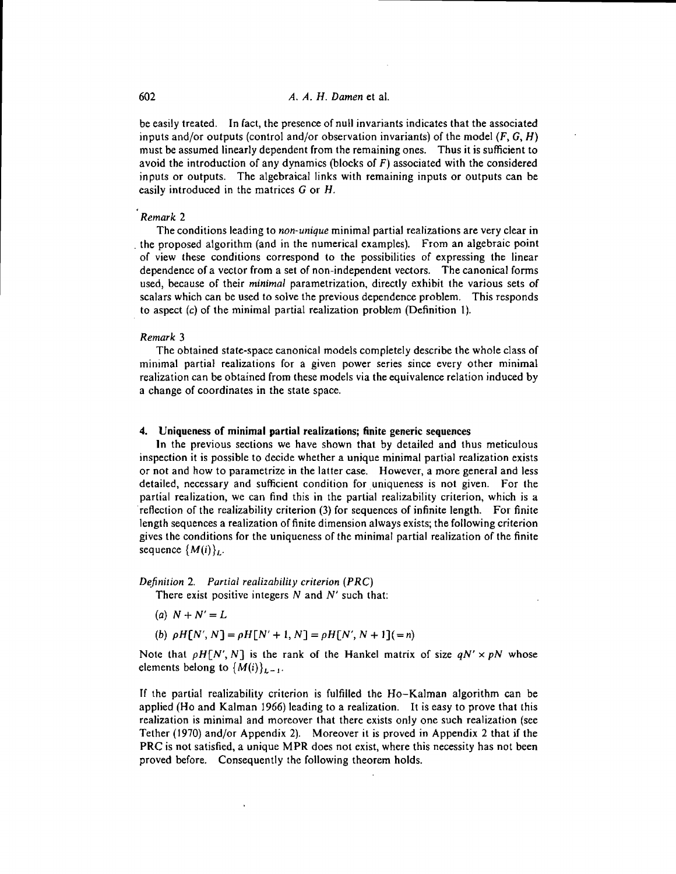be easily treated. In fact, the presence of null invariants indicates that the associated inputs and/or outputs (control and/or observation invariants) of the model (F, *G, H)*  must be assumed linearly dependent from the remaining ones. Thus it is sufficient to avoid the introduction of any dynamics (blocks of F) associated with the considered inputs or outputs. The algebraical links with remaining inputs or outputs can be easily introduced in the matrices G or H.

### *Remark 2*

The conditions leading to *non-unique* minimal partial realizations are very clear in . the proposed algorithm (and in the numerical examples). From an algebraic point of view these conditions correspond to the possibilities of expressing the linear dependence of a vector from a set of non-independent vectors. The canonical forms used, because of their *minimal* parametrization, directly exhibit the various sets of scalars which can be used to solve the previous dependence problem. This responds to aspect **(c)** of the minimal partial realization problem (Definition 1).

## *Remark* **3**

The obtained state-space canonical models completely describe the whole class of minimal partial realizations for a given power series since every other minimal realization can be obtained from these models via the equivalence relation induced by a change of coordinates in the state space.

# **4. Uniqueness of minimal partial realizations; finite generic sequences**

In the previous sections we have shown that by detailed and thus meticulous inspection it is possible to decide whether a unique minimal partial realization exists or not and how to parametrize in the latter case. However, a more general and less detailed, necessary and sufficient condition for uniqueness is not given. For the partial realization, we can find this in the partial realizability criterion, which is a 'reflection of the realizability criterion (3) for sequences of infinite length. For finite length sequences a realization of finite dimension always exists; the following criterion gives the conditions for the uniqueness of the minimal partial realization of the finite sequence  ${M(i)}_L$ .

*Definition 2. Partial realizahility criterion (PRC)* 

There exist positive integers N and *N'* such that:

- $(a)$   $N + N' = L$
- (b)  $\rho H[N', N] = \rho H[N' + 1, N] = \rho H[N', N + 1] (= n)$

Note that  $\rho H[N', N]$  is the rank of the Hankel matrix of size  $qN' \times pN$  whose elements belong to  ${M(i)}_{L-1}$ .

If the partial realizability criterion is fulfilled the Ho-Kalman algorithm can be applied (Ho and Kalman 1966) leading to a realization. It is easy to prove that this realization is minimal and moreover that there exists only one such realization (see Tether (1970) and/or Appendix 2). Moreover it is proved in Appendix 2 that if the PRC is not satisfied, a unique MPR does not exist, where this necessity has not been proved before. Consequently the following theorem holds.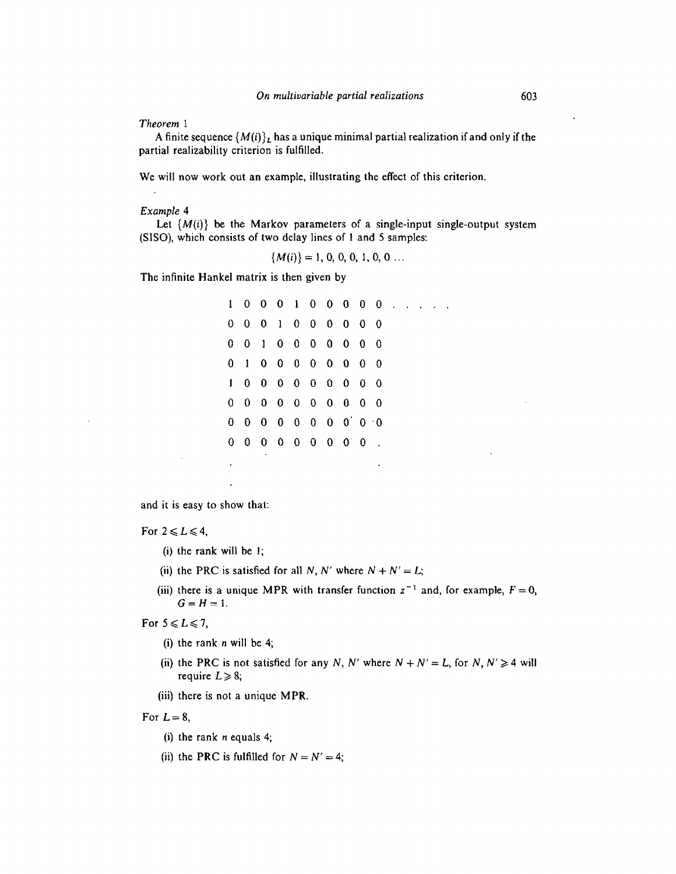Theorem 1

A finite sequence  ${M(i)}_L$  has a unique minimal partial realization if and only if the partial realizability criterion is fulfilled.

We will now work out an example, illustrating the effect of this criterion.

# Example 4

Let  ${M(i)}$  be the Markov parameters of a single-input single-output system (SISO), which consists of two delay lines of 1 and *5* samples:

$$
\{M(i)\}=1,\,0,\,0,\,0,\,1,\,0,\,0\,\ldots
$$

The infinite Hankel matrix is then given by

|  |  |  | $1 \t0 \t0 \t0 \t1 \t0 \t0 \t0 \t0 \t0 \t \ldots$ |  |  |  |  |
|--|--|--|---------------------------------------------------|--|--|--|--|
|  |  |  | 0 0 0 1 0 0 0 0 0 0                               |  |  |  |  |
|  |  |  | 0 0 1 0 0 0 0 0 0 0                               |  |  |  |  |
|  |  |  | 0 1 0 0 0 0 0 0 0 0                               |  |  |  |  |
|  |  |  | 1 0 0 0 0 0 0 0 0 0                               |  |  |  |  |
|  |  |  | 0 0 0 0 0 0 0 0 0 0                               |  |  |  |  |
|  |  |  | $0$ 0 0 0 0 0 0 0 0 0                             |  |  |  |  |
|  |  |  | 0 0 0 0 0 0 0 0 0                                 |  |  |  |  |
|  |  |  |                                                   |  |  |  |  |

and it is easy to show that:

For  $2 \le L \le 4$ ,

- (i) the rank will be 1;
- (ii) the PRC is satisfied for all *N*, *N'* where  $N + N' = L$ ;
- (iii) there is a unique MPR with transfer function  $z^{-1}$  and, for example,  $F = 0$ ,  $G=H=1$ .

For  $5 \le L \le 7$ ,

- (i) the rank **n** will be *4;*
- (ii) the PRC is not satisfied for any N, N' where  $N + N' = L$ , for  $N, N' \ge 4$  will require  $L \ge 8$ ;
- (iii) there is not a unique MPR.

For  $L = 8$ ,

- (i) the rank n equals *4;*
- (ii) the PRC is fulfilled for  $N = N' = 4$ ;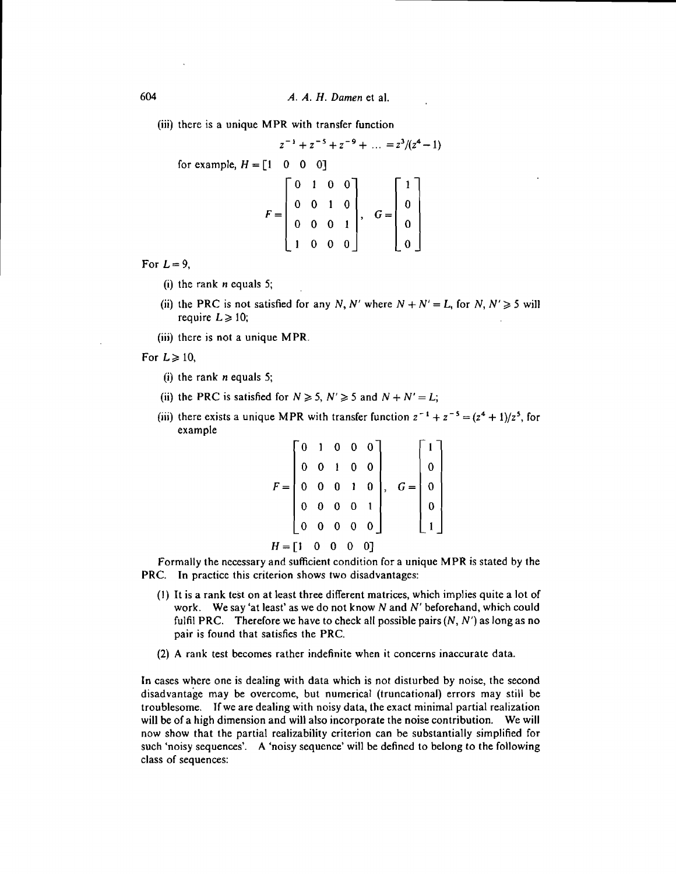(iii) there is a unique **MPR** with transfer function

$$
z^{-1} + z^{-5} + z^{-9} + \dots = z^{3}/(z^{4} - 1)
$$
  
for example,  $H = \begin{bmatrix} 1 & 0 & 0 & 0 \ 1 & 0 & 0 & 0 \ 0 & 0 & 1 & 0 \ 0 & 0 & 0 & 1 \ 1 & 0 & 0 & 0 \end{bmatrix}$ ,  $G = \begin{bmatrix} 1 \ 0 \ 0 \ 0 \ 0 \end{bmatrix}$ 

For  $L = 9$ ,

- (i) the rank **n** equals 5;
- (ii) the PRC is not satisfied for any N, N' where  $N + N' = L$ , for N, N'  $\ge 5$  will require  $L \ge 10$ ;
- (iii) there is not a unique **MPR.**

For  $L \ge 10$ ,

- (i) the rank **n** equals 5;
- (ii) the PRC is satisfied for  $N \ge 5$ ,  $N' \ge 5$  and  $N + N' = L$ ;
- (iii) there exists a unique MPR with transfer function  $z^{-1} + z^{-5} = (z^4 + 1)/z^5$ , for example

| $F =$ |              |  |                                                                                                                                       | $G = \begin{bmatrix} 0 \\ 0 \end{bmatrix}$ |  |
|-------|--------------|--|---------------------------------------------------------------------------------------------------------------------------------------|--------------------------------------------|--|
|       |              |  |                                                                                                                                       |                                            |  |
|       |              |  | $\begin{bmatrix} 0 & 1 & 0 & 0 & 0 \\ 0 & 0 & 1 & 0 & 0 \\ 0 & 0 & 0 & 1 & 0 \\ 0 & 0 & 0 & 0 & 1 \\ 0 & 0 & 0 & 0 & 0 \end{bmatrix}$ |                                            |  |
|       | $\mathbf{a}$ |  |                                                                                                                                       |                                            |  |

$$
H = \begin{bmatrix} 1 & 0 & 0 & 0 & 0 \end{bmatrix}
$$

Formally the necessary and sufficient condition for a unique **MPR** is stated by the **PRC.** In practice this criterion shows two disadvantages:

- (1) It is a rank test on at least three different matrices, which implies quite a lot of work. We say 'at least' as we do not know  $N$  and  $N'$  beforehand, which could fulfil PRC. Therefore we have to check all possible pairs  $(N, N')$  as long as no pair is found that satisfies the **PRC.**
- (2) **A** rank test becomes rather indefinite when it concerns inaccurate data.

In cases where one is dealing with data which is not disturbed by noise, the second disadvantage may be overcome, but numerical (truncational) errors may still be troublesome. **If** we are dealing with noisy data, the exact minimal partial realization will be of a high dimension and will also incorporate the noise contribution. We will now show that the partial realizability criterion can be substantially simplified for such 'noisy sequences'. **A** 'noisy sequence' will be defined to belong to the following class of sequences: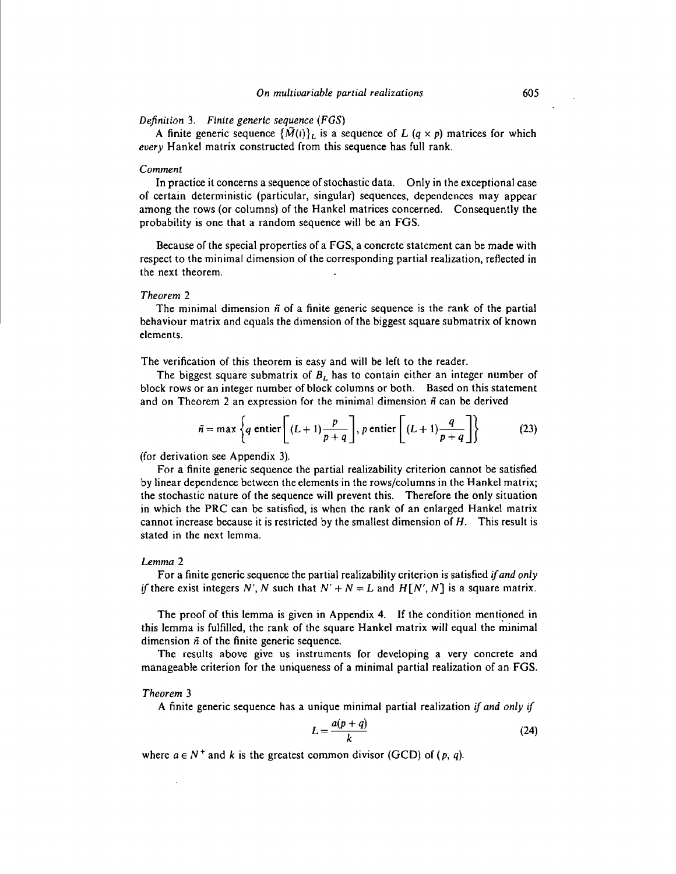# *Dejnition* **3.** *Finite generic sequence (FGS)*

A finite generic sequence  $\{\tilde{M}(i)\}_{i,j}$  is a sequence of L  $(q \times p)$  matrices for which *every* Hankel matrix constructed from this sequence has full rank.

# *Comment*

In practice it concerns a sequence of stochastic data. Only in the exceptional case of certain deterministic (particular, singular) sequences, dependences may appear among the rows (or columns) of the Hankel matrices concerned. Consequently the probability is one that a random sequence will be an FGS.

Because of the special properties of a FGS, a concrete statement can be made with respect to the minimal dimension of the corresponding partial realization, reflected in the next theorem.

## *Theorem* 2

The minimal dimension  $\tilde{n}$  of a finite generic sequence is the rank of the partial behaviour matrix and equals the dimension of the biggest square submatrix of known elements.

The verification of this theorem is easy and will be left to the reader.

The biggest square submatrix of  $B_L$  has to contain either an integer number of block rows or an integer number of block columns or both. Based on this statement and on Theorem 2 an expression for the minimal dimension **fi** can be derived

$$
\tilde{n} = \max \left\{ q \text{ entier} \left[ (L+1) \frac{p}{p+q} \right], p \text{ entier} \left[ (L+1) \frac{q}{p+q} \right] \right\}
$$
(23)

(for derivation see Appendix 3).

For a finite generic sequence the partial realizability criterion cannot be satisfied by linear dependence between the elements in the rows/columns in the Hankel matrix; the stochastic nature of the sequence will prevent this. Therefore the only situation in which the PRC can be satisfied, is when the rank of an enlarged Hankel matrix cannot increase because it is restricted by the smallest dimension of H. This result is stated in the next lemma.

#### *Lemma* 2

For a finite generic sequence the partial realizability criterion is satisfied ifand *only*  if there exist integers N', N such that  $N' + N = L$  and  $H[N', N]$  is a square matrix.

The proof of this lemma is given in Appendix 4. If the condition mentioned in this lemma is fulfilled, the rank of the square Hankel matrix will equal the minimal dimension **n'** of the finite generic sequence.

The results above give us instruments for developing a very concrete and manageable criterion for the uniqueness of a minimal partial realization of an **FGS.** 

#### *Theorem* 3

**A** finite generic sequence has a unique minimal partial realization **if** *and only* i/

$$
L = \frac{a(p+q)}{k} \tag{24}
$$

where  $a \in N^+$  and k is the greatest common divisor (GCD) of  $(p, q)$ .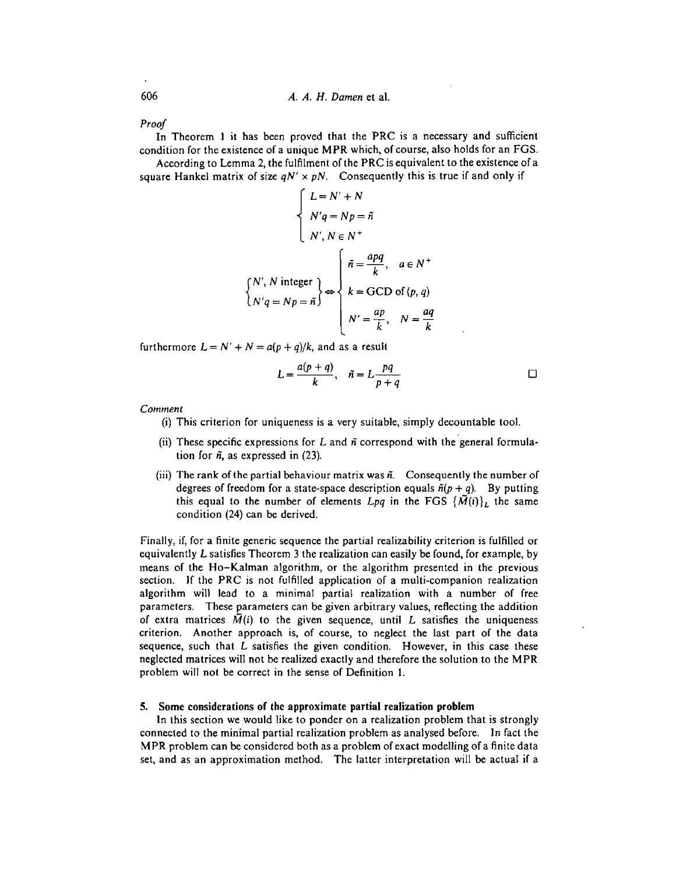*Proof* 

In Theorem 1 it has been proved that the PRC is a necessary and sufficient condition for the existence of a unique **MPR** which, of course, also holds for an **FGS.** 

According to Lemma 2, the fulfilment of the **PRC** is equivalent to the existence of a square Hankel matrix of size  $qN' \times pN$ . Consequently this is true if and only if

$$
\begin{cases}\nL = N' + N \\
N'q = Np = \tilde{n} \\
N', N \in N^+\n\end{cases}
$$
\n
$$
\begin{cases}\nN', N \text{ integer} \\
N'q = Np = \tilde{n}\n\end{cases}
$$
\n
$$
\begin{cases}\n\tilde{n} = \frac{apq}{k}, a \in N^+\n\end{cases}
$$
\n
$$
k = \text{GCD of } (p, q)
$$
\n
$$
N' = \frac{ap}{k}, N = \frac{aq}{k}
$$

furthermore  $L = N' + N = a(p+q)/k$ , and as a result

$$
L = \frac{a(p+q)}{k}, \quad \tilde{n} = L \frac{pq}{p+q}
$$

*Comment* 

- (i) This criterion for uniqueness is a very suitable, simply decountable tool.
- (ii) These specific expressions for L and **n'** correspond with the general formulation for  $\tilde{n}$ , as expressed in (23).
- (iii) The rank of the partial behaviour matrix was  $\tilde{n}$ . Consequently the number of degrees of freedom for a state-space description equals  $\tilde{n}(p + q)$ . By putting this equal to the number of elements  $Lpq$  in the FGS  $\{\tilde{M}(i)\}_{i,j}$  the same condition (24) can be derived.

Finally, if, for a finite generic sequence the partial realizability criterion is fulfilled or equivalently L satisfies Theorem 3 the realization can easily be found, for example, by means of the Ho-Kalman algorithm, or the algorithm presented in the previous section. If the PRC is not fulfilled application of a multi-companion realization algorithm will lead to a minimal partial realization with a number of free parameters. These parameters can be given arbitrary values, reflecting the addition of extra matrices  $\overline{M}(i)$  to the given sequence, until L satisfies the uniqueness criterion. Another approach is, of course, to neglect the last part of the data sequence, such that  $L$  satisfies the given condition. However, in this case these neglected matrices will not be realized exactly and therefore the solution to the **MPR**  problem will not be correct in the sense of Definition 1.

## 5. Some considerations of the approximate partial realization problem

In this section we would like to ponder on a realization problem that is strongly connected to the minimal partial realization problem as analysed before. In fact the **MPR** problem can be considered both as a problem of exact modelling of a finite data set, and as an approximation method. The latter interpretation will be actual if a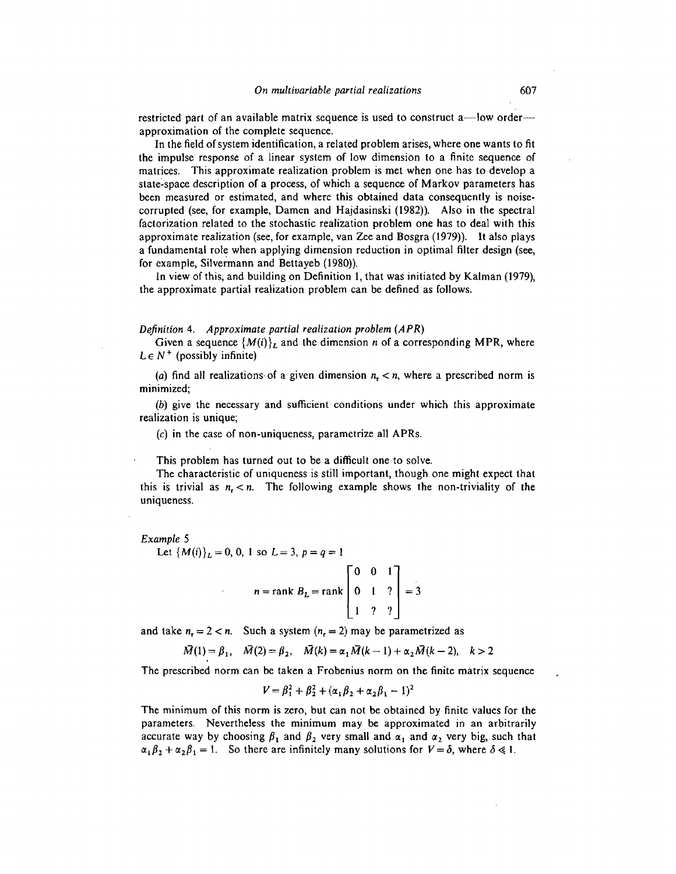restricted part of an available matrix sequence is used to construct  $a$ —low order approximation of the complete sequence.

In the field of system identification, a related problem arises, where one wants to fit the impulse response of a linear system of low dimension to a finite sequence of matrices. This approximate realization problem is met when one has to develop a state-space description of a process, of which a sequence of Markov parameters has been measured or estimated, and where this obtained data consequently is noisecorrupted (see, for example, Damen and Hajdasinski (1982)). Also in the spectral factorization related to the stochastic realization problem one has to deal with this approximate realization (see, for example, van Zee and Bosgra (1979)). **It** also plays a fundamental role when applying dimension reduction in optimal filter design (see, for example, Silvermann and Bettayeb (1980)).

In view of this, and building on Definition 1, that was initiated by Kalman (1979), the approximate partial realization problem can be defined as follows.

## Definition 4. Approximate partial realization problem (APR)

Given a sequence  $\{M(i)\}_{i}$  and the dimension *n* of a corresponding MPR, where  $L \in N^+$  (possibly infinite)

(a) find all realizations of a given dimension  $n_r < n$ , where a prescribed norm is minimized;

*(b)* give the necessary and sufficient conditions under which this approximate realization is unique;

(c) in the case of non-uniqueness, parametrize all APRs.

This problem has turned out to be a difficult one to solve.

The characteristic of uniqueness is still important, though one might expect that this is trivial as  $n < n$ . The following example shows the non-triviality of the uniqueness.

Example 5

Let  ${M(i)}_L = 0, 0, 1$  so  $L = 3, p = q = 1$ 

|                                                      | $\mathbf{u}$ |  |
|------------------------------------------------------|--------------|--|
| $n = \text{rank } B_L = \text{rank }   0 1  ?   = 3$ |              |  |
|                                                      |              |  |

and take  $n_r = 2 < n$ . Such a system  $(n_r = 2)$  may be parametrized as

 $\overline{M}(1) = \beta_1$ ,  $\overline{M}(2) = \beta_2$ ,  $\overline{M}(k) = \alpha_1 \overline{M}(k-1) + \alpha_2 \overline{M}(k-2)$ ,  $k > 2$ 

The prescribed norm can be taken a Frobenius norm on the finite matrix sequence

$$
V = \beta_1^2 + \beta_2^2 + (\alpha_1 \beta_2 + \alpha_2 \beta_1 - 1)
$$

The minimum of this norm is zero, but can not be obtained by finite values for the parameters. Nevertheless the minimum may be approximated in an arbitrarily accurate way by choosing  $\beta_1$  and  $\beta_2$  very small and  $\alpha_1$  and  $\alpha_2$  very big, such that  $\alpha_1 \beta_2 + \alpha_2 \beta_1 = 1$ . So there are infinitely many solutions for  $V = \delta$ , where  $\delta \ll 1$ .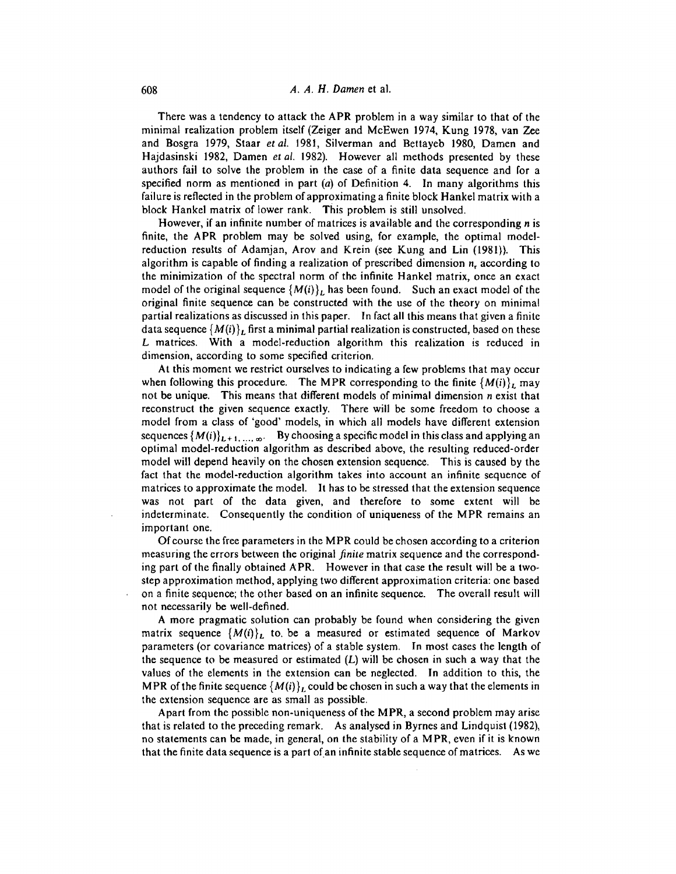There was a tendency to attack the APR problem in a way similar to that of the minimal realization problem itself (Zeiger and McEwen 1974, Kung 1978, van Zee and Bosgra 1979, Staar *et al.* 1981, Silverman and Bettayeb 1980, Damen and Hajdasinski 1982, Damen *et* **al.** 1982). However all methods presented by these authors fail to solve the problem in the case of a finite data sequence and for a specified norm as mentioned in part *(a)* of Definition *4.* In many algorithms this failure is reflected in the problem of approximating a finite block Hankel matrix with a block Hankel matrix of lower rank. This problem is still unsolved.

However, if an infinite number of matrices is available and the corresponding *n* is finite, the APR problem may be solved using, for example, the optimal modelreduction results of Adamjan, Arov and Krein (see Kung and Lin (1981)). This algorithm is capable of finding a realization of prescribed dimension **n,** according to the minimization of the spectral norm of the infinite Hankel matrix, once an exact model of the original sequence  $\{M(i)\}_L$  has been found. Such an exact model of the original finite sequence can be constructed with the use of the theory on minimal partial realizations as discussed in this paper. In fact all this means that given a finite data sequence  ${M(i)}_L$  first a minimal partial realization is constructed, based on these L matrices. With a model-reduction algorithm this realization is reduced in dimension, according to some specified criterion.

At this moment we restrict ourselves to indicating a few problems that may occur when following this procedure. The MPR corresponding to the finite  $\{M(i)\}\$ , may not be unique. This means that different models of minimal dimension *n* exist that reconstruct the given sequence exactly. There will be some freedom to choose a model from a class of 'good' models, in which all models have different extension sequences  ${M(i)}_{i,k+1,\ldots,m}$ . By choosing a specific model in this class and applying an optimal model-reduction algorithm as described above, the resulting reduced-order model will depend heavily on the chosen extension sequence. This is caused by the fact that the model-reduction algorithm takes into account an infinite sequence of matrices to approximate the model. It has to be stressed that the extension sequence was not part of the data given, and therefore to some extent will be indeterminate. Consequently the condition of uniqueness of the MPR remains an important one.

Of course the free parameters in the MPR could be chosen according to a criterion measuring the errors between the original *finite* matrix sequence and the corresponding part of the finally obtained APR. However in that case the result will be a twostep approximation method, applying two different approximation criteria: one based . on a finite sequence; the other based on an infinite sequence. The overall result will not necessarily be well-defined.

**A** more pragmatic solution can probably be found when considering the given matrix sequence  ${M(i)}_L$  to, be a measured or estimated sequence of Markov parameters (or covariance matrices) of a stable system. In most cases the length of the sequence to be measured or estimated  $(L)$  will be chosen in such a way that the values of the elements in the extension can be neglected. In addition to this, the MPR of the finite sequence  $\{M(i)\}\)$ , could be chosen in such a way that the elements in the extension sequence are as small as possible.

Apart from the possible non-uniqueness of the **MPR,** a second problem may arise that is related to the preceding remark. As analysed in Byrnes and Lindquist (1982), no statements can be made, in general, on the stability of a MPR, even if it is known that the finite data sequence is a part of an infinite stable sequence of matrices. As we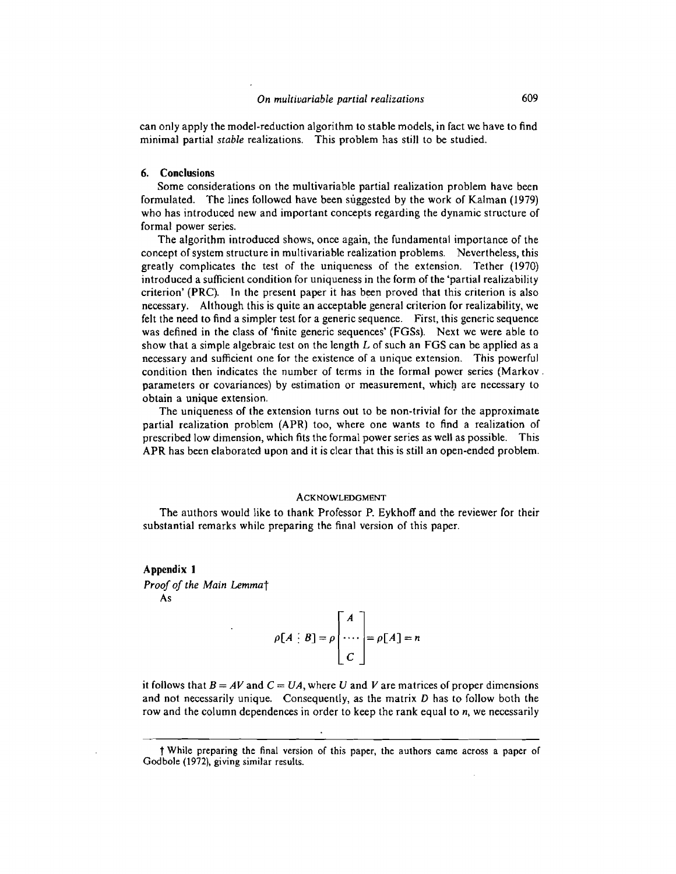can only apply the model-reduction algorithm to stable models, in fact we have to find minimal partial *stable* realizations. This problem has still to be studied.

## **6. Conclusions**

Some considerations on the multivariable partial realization problem have been formulated. The lines followed have been suggested by the work of Kalman **(1979)**  who has introduced new and important concepts regarding the dynamic structure of formal power series.

The algorithm introduced shows, once again, the fundamental importance of the concept of system structure in multivariable realization problems. Nevertheless, this greatly complicates the test of the uniqueness of the extension. Tether **(1970)**  introduced a sufficient condition for uniqueness in the form of the 'partial realizability criterion' (PRC). In the present paper it has been proved that this criterion is also necessary. Although this is quite an acceptable general criterion for realizability, we felt the need to find a simpler test for a generic sequence. First, this generic sequence was defined in the class of 'finite generic sequences' **(FGSs).** Next we were able to show that a simple algebraic test on the length  $L$  of such an FGS can be applied as a necessary and sufficient one for the existence of a unique extension. This powerful condition then indicates the number of terms in the formal power series (Markov parameters or covariances) by estimation or measurement, which are necessary to obtain a unique extension.

The uniqueness of the extension turns out to be non-trivial for the approximate partial realization problem **(APR)** too, where one wants to find a realization of prescribed low dimension, which fits the formal power series as well as possible. This **APR** has been elaborated upon and it is clear that this is still an open-ended problem.

#### **ACKNOWLEDGMENT**

The authors would like to thank Professor P. Eykhoff and the reviewer for their substantial remarks while preparing the final version of this paper.

# *Appendix 1*  Proof of the Main Lemma<sup>†</sup> **As**

$$
\rho[A : B] = \rho \begin{bmatrix} A \\ \cdots \\ C \end{bmatrix} = \rho[A] = n
$$

it follows that  $B = AV$  and  $C = UA$ , where U and V are matrices of proper dimensions and not necessarily unique. Consequently, as the matrix D has to follow both the row and the column dependences in order to keep the rank equal to **n,** we necessarily

t While preparing the final version of this paper, the authors came across a paper of **Godbole (1972),** giving similar results.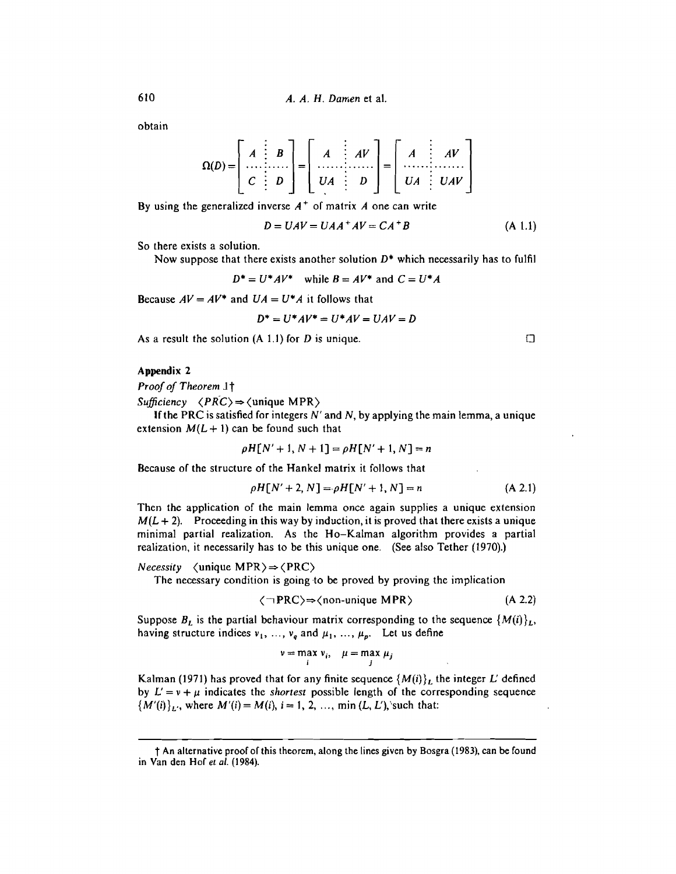obtain

$$
\Omega(D) = \left[\begin{array}{c} A & B \\ \cdots & \cdots \\ C & \vdots & D \end{array}\right] = \left[\begin{array}{c} A & A V \\ \cdots & \cdots & \cdots \\ U A & \vdots & D \end{array}\right] = \left[\begin{array}{c} A & A V \\ \cdots & \cdots & \cdots \\ U A & \vdots & U A V \end{array}\right]
$$

By using the generalized inverse  $A^+$  of matrix  $A$  one can write

$$
D = UAV = UAA^+AV = CA^+B \tag{A 1.1}
$$

So there exists a solution.

Now suppose that there exists another solution  $D^*$  which necessarily has to fulfil

$$
D^* = U^*AV^*
$$
 while  $B = AV^*$  and  $C = U^*A$ 

Because  $AV = AV^*$  and  $UA = U^*A$  it follows that

$$
D^* = U^*AV^* = U^*AV = UAV = D
$$

As a result the solution (A 1.1) for *D* is unique.

## **Appendix** 2

Proof of Theorem 1<sup>+</sup>

*Sufficiency*  $\langle PR\tilde{C}\rangle \Rightarrow \langle$  unique MPR $\rangle$ 

lf the PRC is satisfied for integers *N'* and *N,* by applying *the* main lemma, a unique extension  $M(L + 1)$  can be found such that

$$
\rho H[N'+1, N+1] = \rho H[N'+1, N] = n
$$

Because of the structure of the Hankel matrix it follows that

$$
\rho H[N'+2, N] = \rho H[N'+1, N] = n \tag{A 2.1}
$$

Then the application of the main lemma once again supplies a unique extension  $M(L + 2)$ . Proceeding in this way by induction, it is proved that there exists a unique minimal partial realization. As the Ho-Kalman algorithm provides a partial realization, it necessarily has to be this unique one. (See also Tether (1970).)

*Necessity*  $\langle$ unique **MPR** $\rangle \Rightarrow \langle$ PRC $\rangle$ 

The necessary condition is going to be proved by proving the implication

$$
\langle \neg PRC \rangle \Rightarrow \langle \text{non-unique } MPR \rangle \tag{A 2.2}
$$

Suppose  $B_L$  is the partial behaviour matrix corresponding to the sequence  $\{M(i)\}_L$ , having structure indices  $v_1, \ldots, v_q$  and  $\mu_1, \ldots, \mu_p$ . Let us define

$$
v = \max_i v_i, \quad \mu = \max_j \mu_j
$$

Kalman (1971) has proved that for any finite sequence  ${M(i)}_L$  the integer L' defined by  $L' = v + \mu$  indicates the *shortest* possible length of the corresponding sequence  ${M'(i)}_L$ , where  $M'(i) = M(i)$ ,  $i = 1, 2, ..., min (L, L')$ , such that:

610

 $\Box$ 

t An alternative proof or this theorem, along the lines given by Bosgra **(1983),** can be found in Van den **Hof el** *al.* **(1984).**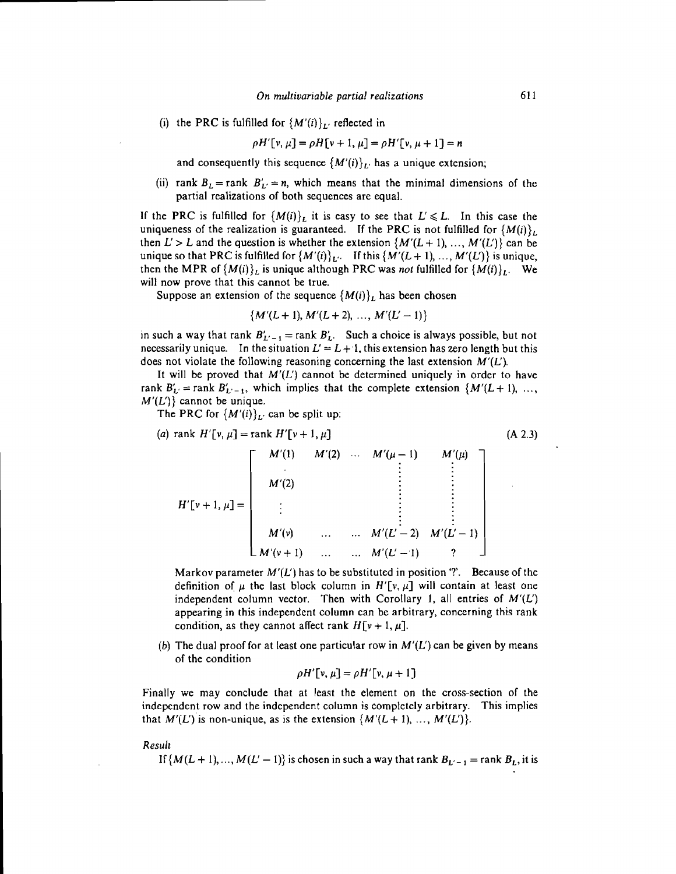(i) the **PRC** is fulfilled for  ${M'(i)}_L$  reflected in

$$
\rho H'[\nu, \mu] = \rho H[\nu + 1, \mu] = \rho H'[\nu, \mu + 1] = n
$$

and consequently this sequence  $\{M'(i)\}_L$  has a unique extension;

(ii) rank  $B_L = \text{rank } B'_{L'} = n$ , which means that the minimal dimensions of the partial realizations of both sequences are equal.

If the PRC is fulfilled for  $\{M(i)\}_L$  it is easy to see that  $L' \leq L$ . In this case the uniqueness of the realization is guaranteed. If the PRC is not fulfilled for  ${M(i)}_i$ then  $L' > L$  and the question is whether the extension  $\{M'(L+1), ..., M'(L')\}$  can be unique so that PRC is fulfilled for  $\{M'(i)\}_{i,j}$ . If this  $\{M'(L+1), ..., M'(L')\}$  is unique, then the MPR of  $\{M(i)\}_i$  is unique although PRC was *not* fulfilled for  $\{M(i)\}_i$ . We will now prove that this cannot be true.

Suppose an extension of the sequence  $\{M(i)\}_L$  has been chosen

$$
\{M'(L+1), M'(L+2), ..., M'(L'-1)\}\
$$

in such a way that rank  $B'_{L'-1} = \text{rank } B'_L$ . Such a choice is always possible, but not necessarily unique. In the situation  $L' = L + 1$ , this extension has zero length but this does not violate the following reasoning concerning the last extension  $M'(L')$ .

It will be proved that  $M'(L')$  cannot be determined uniquely in order to have rank  $B'_{L'} = \text{rank } B'_{L'-1}$ , which implies that the complete extension  $\{M'(L+1), \ldots, \}$  $M'(L')$ } cannot be unique.

The PRC for  $\{M'(i)\}_L$  can be split up:

(a) rank 
$$
H'[v, \mu]
$$
 = rank  $H'[v + 1, \mu]$   
\n
$$
\begin{bmatrix}\nM'(1) & M'(2) & \cdots & M'(\mu - 1) & M'(\mu) \\
M'(2) & & & & \vdots & \vdots \\
M'(v) & \cdots & \cdots & M'(L' - 2) & M'(L' - 1) \\
M'(v+1) & \cdots & \cdots & M'(L' - 1) & ?\n\end{bmatrix}
$$
\n(A 2.3)

Markov parameter  $M'(L')$  has to be substituted in position  $\mathcal{P}'$ . Because of the definition of  $\mu$  the last block column in  $H'[v, \mu]$  will contain at least one independent column vector. Then with Corollary 1, all entries of  $M'(L')$ appearing in this independent column can be arbitrary, concerning this rank condition, as they cannot affect rank  $H[\nu + 1, \mu]$ .

(b) The dual proof for at least one particular row in  $M'(L')$  can be given by means of the condition

$$
\rho H'[\nu,\mu] = \rho H'[\nu,\mu+1]
$$

Finally we may conclude that at least the element on the cross-section of the independent row and the independent column is completely arbitrary. This implies that  $M'(L')$  is non-unique, as is the extension  $\{M'(L+1), \ldots, M'(L')\}.$ 

## *Result*

If  $\{M(L+1), ..., M(L'-1)\}\$  is chosen in such a way that rank  $B_{L'-1}$  = rank  $B_L$ , it is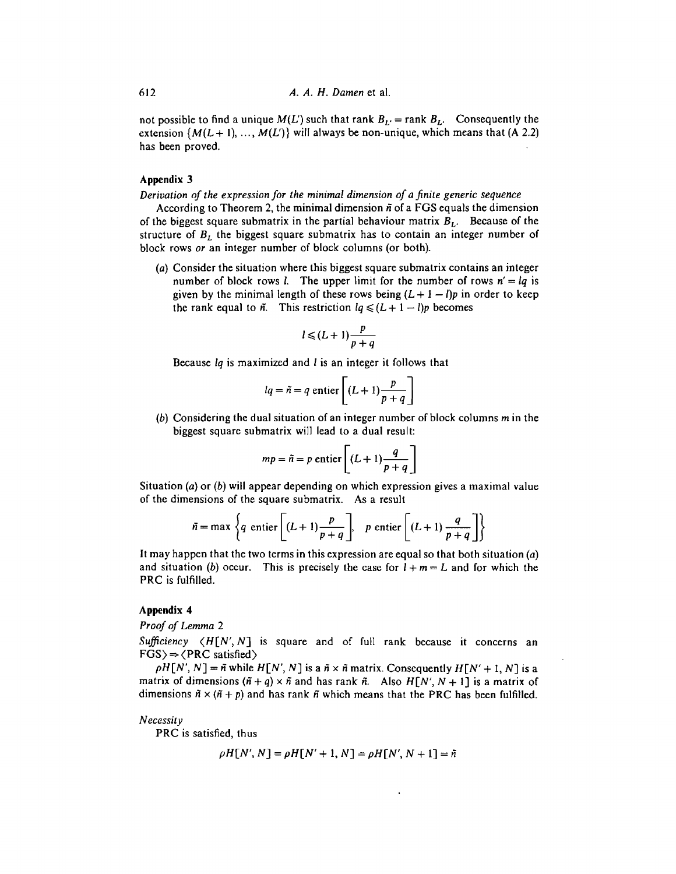not possible to find a unique  $M(L')$  such that rank  $B_{L'} = \text{rank } B_L$ . Consequently the extension  $\{M(L + 1), ..., M(L')\}$  will always be non-unique, which means that **(A 2.2)** has been proved.

## **Appendix** *3*

*Derivation of the expression for the minimal dimension of afinite generic sequence* 

According to Theorem 2, the minimal dimension **n'** of a FGS equals the dimension of the biggest square submatrix in the partial behaviour matrix  $B_L$ . Because of the structure of  $B_L$  the biggest square submatrix has to contain an integer number of block rows *or* an integer number of block columns (or both).

(a) Consider the situation where this biggest square submatrix contains an integer number of block rows *l*. The upper limit for the number of rows  $n' = lq$  is given by the minimal length of these rows being  $(L + 1 - l)p$  in order to keep the rank equal to  $\tilde{n}$ . This restriction  $lq \leq (L+1-l)p$  becomes

$$
l \leq (L+1)\frac{p}{p+q}
$$

Because *lq* is maximized and 1 is an integer it follows that

$$
lq = \tilde{n} = q \text{ enter}\left[ (L+1)\frac{p}{p+q} \right]
$$

(b) Considering the dual situation of an integer number of block columns *m* in the biggest square submatrix will lead to a dual result:

$$
mp = \tilde{n} = p \text{ entier}\left[ (L+1)\frac{q}{p+q} \right]
$$

Situation (a) or (b) will appear depending on which expression gives a maximal value of the dimensions of the square submatrix. As a result

$$
\bar{n} = \max \left\{ q \text{ entire } \left[ (L+1) \frac{p}{p+q} \right], \quad p \text{ entire } \left[ (L+1) \frac{q}{p+q} \right] \right\}
$$

It may happen that the two terms in this expression are equal so that both situation  $(a)$ and situation (b) occur. This is precisely the case for  $l + m = L$  and for which the PRC is fulfilled.

# **Appendix** *4*

*Proof of Lemma* 2

*Sufficiency*  $\langle H[N', N]$  is square and of full rank because it concerns an  $FGS$  $\Rightarrow$   $\langle PRC \text{ satisfied} \rangle$ 

 $\rho H[N', N] = \tilde{n}$  while  $H[N', N]$  is a  $\tilde{n} \times \tilde{n}$  matrix. Consequently  $H[N' + 1, N]$  is a matrix of dimensions  $(\tilde{n} + q) \times \tilde{n}$  and has rank  $\tilde{n}$ . Also  $H[N', N + 1]$  is a matrix of dimensions  $\tilde{n} \times (\tilde{n} + p)$  and has rank  $\tilde{n}$  which means that the PRC has been fulfilled.

#### Necessity

**PRC** is satisfied, thus

$$
\rho H[N', N] = \rho H[N' + 1, N] = \rho H[N', N + 1] = \bar{n}
$$